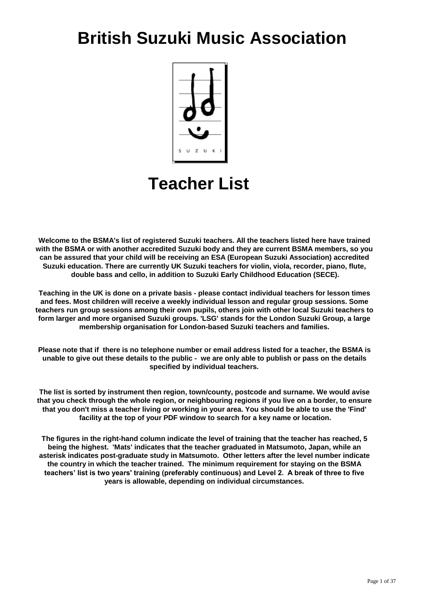# **British Suzuki Music Association**



# **Teacher List**

Welcome to the BSMA's list of registered Suzuki teachers. All the teachers listed here have trained **with the BSMA or with another accredited Suzuki body and they are current BSMA members, so you can be assured that your child will be receiving an ESA (European Suzuki Association) accredited Suzuki education. There are currently UK Suzuki teachers for violin, viola, recorder, piano, flute, double bass and cello, in addition to Suzuki Early Childhood Education (SECE).**

**Teaching in the UK is done on a private basis - please contact individual teachers for lesson times and fees. Most children will receive a weekly individual lesson and regular group sessions. Some teachers run group sessions among their own pupils, others join with other local Suzuki teachers to form larger and more organised Suzuki groups. 'LSG' stands for the London Suzuki Group, a large membership organisation for London-based Suzuki teachers and families.** 

**Please note that if there is no telephone number or email address listed for a teacher, the BSMA is unable to give out these details to the public - we are only able to publish or pass on the details specified by individual teachers.** 

**The list is sorted by instrument then region, town/county, postcode and surname. We would avise that you check through the whole region, or neighbouring regions if you live on a border, to ensure that you don't miss a teacher living or working in your area. You should be able to use the 'Find' facility at the top of your PDF window to search for a key name or location.**

**The figures in the right-hand column indicate the level of training that the teacher has reached, 5 being the highest. 'Mats' indicates that the teacher graduated in Matsumoto, Japan, while an asterisk indicates post-graduate study in Matsumoto. Other letters after the level number indicate the country in which the teacher trained. The minimum requirement for staying on the BSMA teachers' list is two years' training (preferably continuous) and Level 2. A break of three to five years is allowable, depending on individual circumstances.**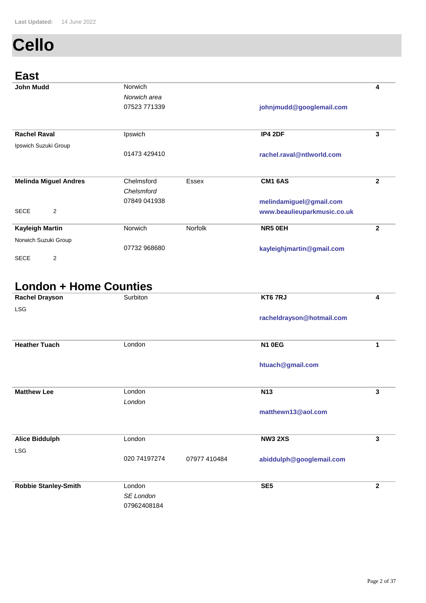# **Cello**

#### **East**

| ----                          |              |                |                             |              |
|-------------------------------|--------------|----------------|-----------------------------|--------------|
| <b>John Mudd</b>              | Norwich      |                |                             | 4            |
|                               | Norwich area |                |                             |              |
|                               | 07523 771339 |                | johnjmudd@googlemail.com    |              |
|                               |              |                |                             |              |
|                               |              |                |                             |              |
| <b>Rachel Raval</b>           | Ipswich      |                | IP4 2DF                     | 3            |
| Ipswich Suzuki Group          |              |                |                             |              |
|                               | 01473 429410 |                | rachel.raval@ntlworld.com   |              |
|                               |              |                |                             |              |
|                               | Chelmsford   |                |                             |              |
| <b>Melinda Miguel Andres</b>  |              | Essex          | <b>CM1 6AS</b>              | 2            |
|                               | Chelsmford   |                |                             |              |
|                               | 07849 041938 |                | melindamiguel@gmail.com     |              |
| $\overline{2}$<br><b>SECE</b> |              |                | www.beaulieuparkmusic.co.uk |              |
| <b>Kayleigh Martin</b>        | Norwich      | <b>Norfolk</b> | NR5 OEH                     | $\mathbf{2}$ |
|                               |              |                |                             |              |
| Norwich Suzuki Group          | 07732 968680 |                |                             |              |
|                               |              |                | kayleighjmartin@gmail.com   |              |
| $\overline{2}$<br><b>SECE</b> |              |                |                             |              |

#### **London + Home Counties**

| <b>Rachel Drayson</b>       | Surbiton            |              | KT6 7RJ                   | 4            |
|-----------------------------|---------------------|--------------|---------------------------|--------------|
| LSG                         |                     |              | racheldrayson@hotmail.com |              |
| <b>Heather Tuach</b>        | London              |              | <b>N1 0EG</b>             | 1            |
|                             |                     |              | htuach@gmail.com          |              |
| <b>Matthew Lee</b>          | London<br>London    |              | N <sub>13</sub>           | 3            |
|                             |                     |              | matthewn13@aol.com        |              |
| <b>Alice Biddulph</b>       | London              |              | <b>NW3 2XS</b>            | 3            |
| <b>LSG</b>                  | 020 74197274        | 07977 410484 | abiddulph@googlemail.com  |              |
| <b>Robbie Stanley-Smith</b> | London<br>SE London |              | SE <sub>5</sub>           | $\mathbf{2}$ |
|                             | 07962408184         |              |                           |              |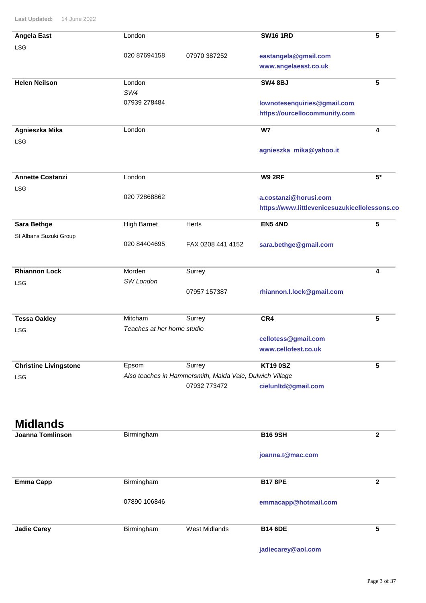| <b>Angela East</b>           | London                     |                                                          | <b>SW16 1RD</b>                               | 5            |
|------------------------------|----------------------------|----------------------------------------------------------|-----------------------------------------------|--------------|
| LSG                          |                            |                                                          |                                               |              |
|                              | 020 87694158               | 07970 387252                                             | eastangela@gmail.com                          |              |
|                              |                            |                                                          | www.angelaeast.co.uk                          |              |
| <b>Helen Neilson</b>         | London                     |                                                          | <b>SW4 8BJ</b>                                | 5            |
|                              | SW4                        |                                                          |                                               |              |
|                              | 07939 278484               |                                                          | lownotesenquiries@gmail.com                   |              |
|                              |                            |                                                          | https://ourcellocommunity.com                 |              |
| Agnieszka Mika               | London                     |                                                          | <b>W7</b>                                     | 4            |
| <b>LSG</b>                   |                            |                                                          |                                               |              |
|                              |                            |                                                          | agnieszka_mika@yahoo.it                       |              |
| <b>Annette Costanzi</b>      | London                     |                                                          | <b>W9 2RF</b>                                 | $5*$         |
| <b>LSG</b>                   |                            |                                                          |                                               |              |
|                              | 020 72868862               |                                                          | a.costanzi@horusi.com                         |              |
|                              |                            |                                                          | https://www.littlevenicesuzukicellolessons.co |              |
| <b>Sara Bethge</b>           | <b>High Barnet</b>         | Herts                                                    | <b>EN5 4ND</b>                                | 5            |
| St Albans Suzuki Group       |                            |                                                          |                                               |              |
|                              | 020 84404695               | FAX 0208 441 4152                                        | sara.bethge@gmail.com                         |              |
|                              |                            |                                                          |                                               |              |
| <b>Rhiannon Lock</b>         | Morden                     | Surrey                                                   |                                               | 4            |
| <b>LSG</b>                   | SW London                  |                                                          |                                               |              |
|                              |                            | 07957 157387                                             | rhiannon.l.lock@gmail.com                     |              |
| <b>Tessa Oakley</b>          | Mitcham                    | Surrey                                                   | CR4                                           | 5            |
| <b>LSG</b>                   | Teaches at her home studio |                                                          |                                               |              |
|                              |                            |                                                          | cellotess@gmail.com                           |              |
|                              |                            |                                                          | www.cellofest.co.uk                           |              |
| <b>Christine Livingstone</b> | Epsom                      | Surrey                                                   | <b>KT19 0SZ</b>                               | 5            |
| <b>LSG</b>                   |                            | Also teaches in Hammersmith, Maida Vale, Dulwich Village |                                               |              |
|                              |                            | 07932 773472                                             | cielunitd@gmail.com                           |              |
|                              |                            |                                                          |                                               |              |
| <b>Midlands</b>              |                            |                                                          |                                               |              |
| <b>Joanna Tomlinson</b>      | Birmingham                 |                                                          | <b>B16 9SH</b>                                | $\mathbf{2}$ |
|                              |                            |                                                          | joanna.t@mac.com                              |              |
| <b>Emma Capp</b>             | Birmingham                 |                                                          | <b>B17 8PE</b>                                | $\mathbf{2}$ |
|                              | 07890 106846               |                                                          | emmacapp@hotmail.com                          |              |
|                              |                            |                                                          |                                               |              |

Birmingham **Jadie Carey <b>Marshall** Birmingham **West Midlands B14 6DE 5** 

**jadiecarey@aol.com**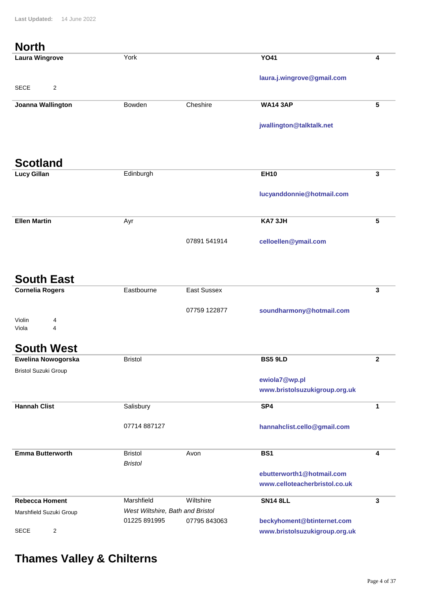#### **North**

| <b>Laura Wingrove</b>         | York                             |                    | <b>YO41</b>                   | 4            |
|-------------------------------|----------------------------------|--------------------|-------------------------------|--------------|
|                               |                                  |                    | laura.j.wingrove@gmail.com    |              |
| $\overline{2}$<br><b>SECE</b> |                                  |                    |                               |              |
| Joanna Wallington             | Bowden                           | Cheshire           | <b>WA14 3AP</b>               | 5            |
|                               |                                  |                    | jwallington@talktalk.net      |              |
|                               |                                  |                    |                               |              |
|                               |                                  |                    |                               |              |
| <b>Scotland</b>               |                                  |                    |                               |              |
| <b>Lucy Gillan</b>            | Edinburgh                        |                    | <b>EH10</b>                   | 3            |
|                               |                                  |                    | lucyanddonnie@hotmail.com     |              |
|                               |                                  |                    |                               |              |
| <b>Ellen Martin</b>           | Ayr                              |                    | KA73JH                        | 5            |
|                               |                                  |                    |                               |              |
|                               |                                  | 07891 541914       | celloellen@ymail.com          |              |
|                               |                                  |                    |                               |              |
| <b>South East</b>             |                                  |                    |                               |              |
| <b>Cornelia Rogers</b>        | Eastbourne                       | <b>East Sussex</b> |                               | $\mathbf{3}$ |
|                               |                                  |                    |                               |              |
|                               |                                  | 07759 122877       | soundharmony@hotmail.com      |              |
| Violin<br>4<br>4<br>Viola     |                                  |                    |                               |              |
|                               |                                  |                    |                               |              |
| <b>South West</b>             |                                  |                    |                               |              |
| Ewelina Nowogorska            | <b>Bristol</b>                   |                    | <b>BS5 9LD</b>                | $\mathbf{2}$ |
| <b>Bristol Suzuki Group</b>   |                                  |                    | ewiola7@wp.pl                 |              |
|                               |                                  |                    | www.bristolsuzukigroup.org.uk |              |
| <b>Hannah Clist</b>           | Salisbury                        |                    | SP4                           | 1            |
|                               |                                  |                    |                               |              |
|                               | 07714 887127                     |                    | hannahclist.cello@gmail.com   |              |
|                               |                                  |                    |                               |              |
| <b>Emma Butterworth</b>       | <b>Bristol</b>                   | Avon               | BS1                           | 4            |
|                               | <b>Bristol</b>                   |                    | ebutterworth1@hotmail.com     |              |
|                               |                                  |                    | www.celloteacherbristol.co.uk |              |
| <b>Rebecca Homent</b>         | Marshfield                       | Wiltshire          | <b>SN14 8LL</b>               | $\mathbf{3}$ |
| Marshfield Suzuki Group       | West Wiltshire, Bath and Bristol |                    |                               |              |
|                               | 01225 891995                     | 07795 843063       | beckyhoment@btinternet.com    |              |
| $\mathbf 2$<br><b>SECE</b>    |                                  |                    | www.bristolsuzukigroup.org.uk |              |

# **Thames Valley & Chilterns**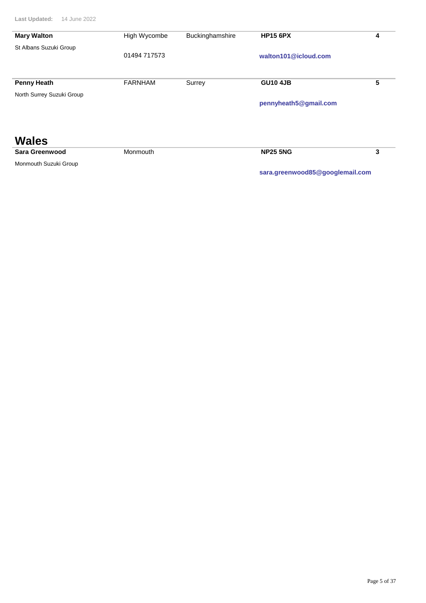| <b>Mary Walton</b>        | High Wycombe   | Buckinghamshire | <b>HP15 6PX</b>                 | 4 |
|---------------------------|----------------|-----------------|---------------------------------|---|
| St Albans Suzuki Group    |                |                 |                                 |   |
|                           | 01494 717573   |                 | walton101@icloud.com            |   |
|                           |                |                 |                                 |   |
|                           |                |                 |                                 |   |
| <b>Penny Heath</b>        | <b>FARNHAM</b> | Surrey          | <b>GU10 4JB</b>                 | 5 |
| North Surrey Suzuki Group |                |                 |                                 |   |
|                           |                |                 | pennyheath5@gmail.com           |   |
|                           |                |                 |                                 |   |
|                           |                |                 |                                 |   |
|                           |                |                 |                                 |   |
| <b>Wales</b>              |                |                 |                                 |   |
| Sara Greenwood            | Monmouth       |                 | <b>NP25 5NG</b>                 | 3 |
| Monmouth Suzuki Group     |                |                 |                                 |   |
|                           |                |                 | sara.greenwood85@googlemail.com |   |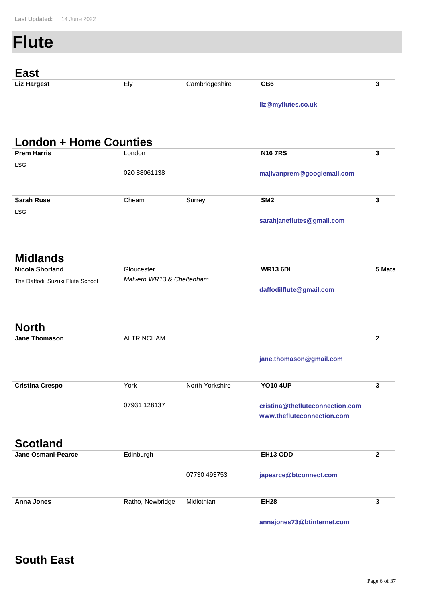#### **Flute** East<br>Liz Hargest Ely **liz@myflutes.co.uk Cambridgeshire CB6 3 London + Home Counties London majivanprem@googlemail.com Prem Harris 3** 020 88061138 **N16 7RS** LSG Cheam **sarahjaneflutes@gmail.com Sarah Ruse** Surrey **SM2 3** LSG **Midlands Gloucester daffodilflute@gmail.com Nicola Shorland 5 Mats** *Malvern WR13 & Cheltenham* **WR13 6DL** The Daffodil Suzuki Flute School **North** ALTRINCHAM **jane.thomason@gmail.com Jane Thomason 2** York **cristina@thefluteconnection.com Cristina Crespo 3 www.thefluteconnection.com** North Yorkshire 07931 128137 **YO10 4UP Scotland Edinburgh Jane Osmani-Pearce 2 EH13 ODD**

**japearce@btconnect.com** Ratho, Newbridge **Anna Jones** Midlothian **EH28 3**

07730 493753

**annajones73@btinternet.com**

### **South East**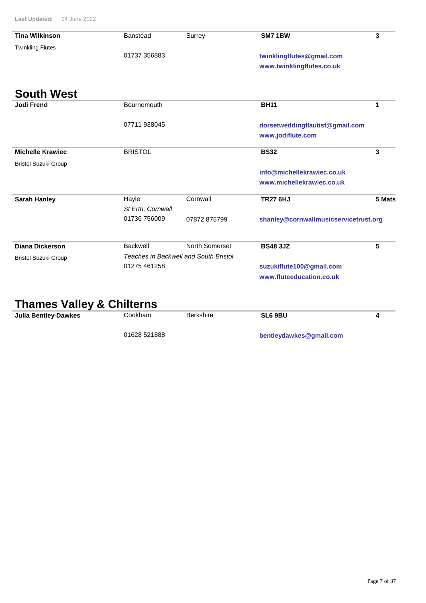| <b>Tina Wilkinson</b>       | <b>Banstead</b>   | Surrey                                | <b>SM7 1BW</b>                        | 3      |
|-----------------------------|-------------------|---------------------------------------|---------------------------------------|--------|
| <b>Twinkling Flutes</b>     |                   |                                       |                                       |        |
|                             | 01737 356883      |                                       | twinklingflutes@gmail.com             |        |
|                             |                   |                                       | www.twinklingflutes.co.uk             |        |
| <b>South West</b>           |                   |                                       |                                       |        |
| <b>Jodi Frend</b>           | Bournemouth       |                                       | <b>BH11</b>                           | 1      |
|                             | 07711 938045      |                                       | dorsetweddingflautist@gmail.com       |        |
|                             |                   |                                       | www.jodiflute.com                     |        |
| <b>Michelle Krawiec</b>     | <b>BRISTOL</b>    |                                       | <b>BS32</b>                           | 3      |
| <b>Bristol Suzuki Group</b> |                   |                                       |                                       |        |
|                             |                   |                                       | info@michellekrawiec.co.uk            |        |
|                             |                   |                                       | www.michellekrawiec.co.uk             |        |
| <b>Sarah Hanley</b>         | Hayle             | Cornwall                              | <b>TR27 6HJ</b>                       | 5 Mats |
|                             | St Erth, Cornwall |                                       |                                       |        |
|                             | 01736 756009      | 07872 875799                          | shanley@cornwallmusicservicetrust.org |        |
| Diana Dickerson             | Backwell          | North Somerset                        | <b>BS48 3JZ</b>                       | 5      |
| <b>Bristol Suzuki Group</b> |                   | Teaches in Backwell and South Bristol |                                       |        |
|                             | 01275 461258      |                                       | suzukiflute100@gmail.com              |        |
|                             |                   |                                       |                                       |        |

**Thames Valley & Chilterns** Cookham **bentleydawkes@gmail.com Julia Bentley-Dawkes Cookham** Berkshire **5L6 9BU 4** 01628 521888 **SL6 9BU**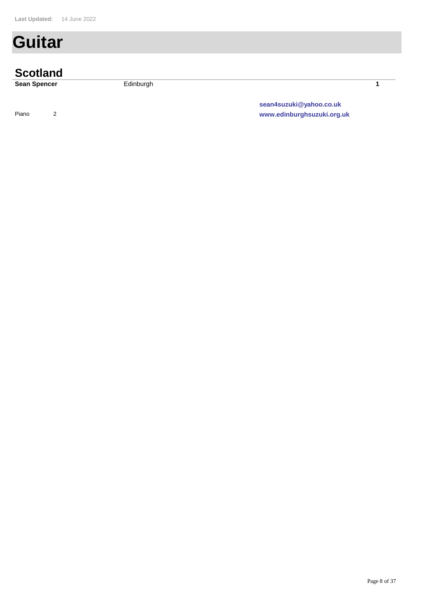# **Guitar**

| <b>Scotland</b>     |                            |  |
|---------------------|----------------------------|--|
| <b>Sean Spencer</b> | Edinburgh                  |  |
|                     | sean4suzuki@yahoo.co.uk    |  |
| Piano               | www.edinburghsuzuki.org.uk |  |

Page 8 of 37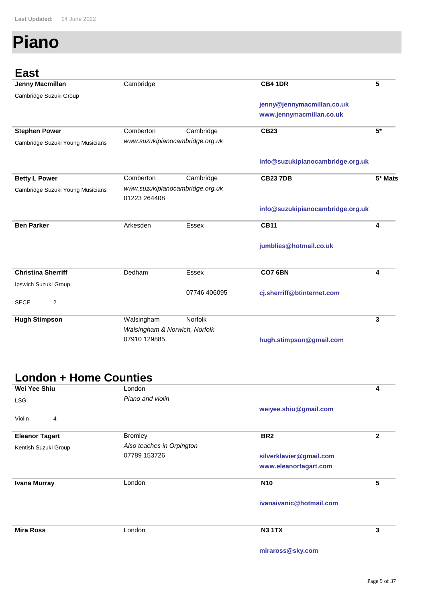# **Piano**

**East**

| <b>Jenny Macmillan</b>           | Cambridge                     |                                 | <b>CB4 1DR</b>                   | 5       |
|----------------------------------|-------------------------------|---------------------------------|----------------------------------|---------|
| Cambridge Suzuki Group           |                               |                                 |                                  |         |
|                                  |                               |                                 | jenny@jennymacmillan.co.uk       |         |
|                                  |                               |                                 | www.jennymacmillan.co.uk         |         |
| <b>Stephen Power</b>             | Comberton                     | Cambridge                       | <b>CB23</b>                      | $5*$    |
| Cambridge Suzuki Young Musicians |                               | www.suzukipianocambridge.org.uk |                                  |         |
|                                  |                               |                                 | info@suzukipianocambridge.org.uk |         |
| <b>Betty L Power</b>             | Comberton                     | Cambridge                       | <b>CB23 7DB</b>                  | 5* Mats |
| Cambridge Suzuki Young Musicians | 01223 264408                  | www.suzukipianocambridge.org.uk |                                  |         |
|                                  |                               |                                 | info@suzukipianocambridge.org.uk |         |
| <b>Ben Parker</b>                | Arkesden                      | <b>Essex</b>                    | <b>CB11</b>                      | 4       |
|                                  |                               |                                 | jumblies@hotmail.co.uk           |         |
| <b>Christina Sherriff</b>        | Dedham                        | Essex                           | <b>CO7 6BN</b>                   | 4       |
| Ipswich Suzuki Group             |                               |                                 |                                  |         |
| $\mathbf{2}$<br><b>SECE</b>      |                               | 07746 406095                    | cj.sherriff@btinternet.com       |         |
| <b>Hugh Stimpson</b>             | Walsingham                    | Norfolk                         |                                  | 3       |
|                                  | Walsingham & Norwich, Norfolk |                                 |                                  |         |
|                                  | 07910 129885                  |                                 | hugh.stimpson@gmail.com          |         |

### **London + Home Counties**

| Wei Yee Shiu          | London                    |                         | 4            |
|-----------------------|---------------------------|-------------------------|--------------|
| <b>LSG</b>            | Piano and violin          |                         |              |
|                       |                           | weiyee.shiu@gmail.com   |              |
| Violin<br>4           |                           |                         |              |
|                       |                           |                         |              |
| <b>Eleanor Tagart</b> | <b>Bromley</b>            | BR <sub>2</sub>         | $\mathbf{2}$ |
| Kentish Suzuki Group  | Also teaches in Orpington |                         |              |
|                       | 07789 153726              | silverklavier@gmail.com |              |
|                       |                           | www.eleanortagart.com   |              |
| <b>Ivana Murray</b>   | London                    | <b>N10</b>              | 5            |
|                       |                           | ivanaivanic@hotmail.com |              |
|                       |                           |                         |              |
| <b>Mira Ross</b>      | London                    | <b>N3 1TX</b>           | 3            |
|                       |                           | miraross@sky.com        |              |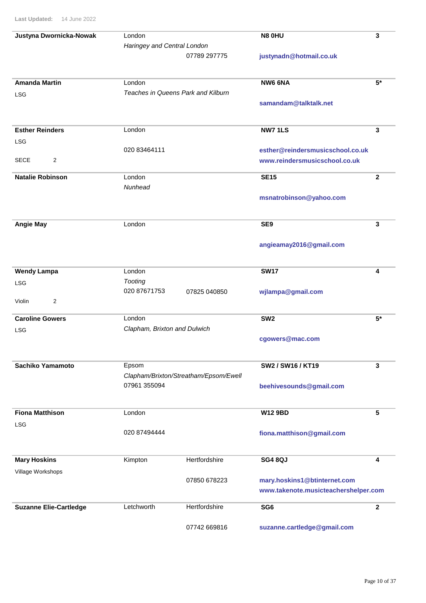| Justyna Dwornicka-Nowak       | London                                |               | <b>N8 0HU</b>                        | 3            |
|-------------------------------|---------------------------------------|---------------|--------------------------------------|--------------|
|                               | Haringey and Central London           |               |                                      |              |
|                               |                                       | 07789 297775  | justynadn@hotmail.co.uk              |              |
|                               |                                       |               |                                      |              |
| <b>Amanda Martin</b>          | London                                |               | NW6 6NA                              | $5*$         |
|                               | Teaches in Queens Park and Kilburn    |               |                                      |              |
| LSG                           |                                       |               | samandam@talktalk.net                |              |
|                               |                                       |               |                                      |              |
|                               |                                       |               |                                      |              |
| <b>Esther Reinders</b>        | London                                |               | <b>NW71LS</b>                        | 3            |
| LSG                           |                                       |               |                                      |              |
|                               | 020 83464111                          |               | esther@reindersmusicschool.co.uk     |              |
| $\overline{2}$<br><b>SECE</b> |                                       |               | www.reindersmusicschool.co.uk        |              |
| <b>Natalie Robinson</b>       | London                                |               | <b>SE15</b>                          | $\mathbf{2}$ |
|                               | Nunhead                               |               |                                      |              |
|                               |                                       |               | msnatrobinson@yahoo.com              |              |
|                               |                                       |               |                                      |              |
|                               |                                       |               |                                      |              |
| <b>Angie May</b>              | London                                |               | SE9                                  | 3            |
|                               |                                       |               |                                      |              |
|                               |                                       |               | angieamay2016@gmail.com              |              |
|                               |                                       |               |                                      |              |
| <b>Wendy Lampa</b>            | London                                |               | <b>SW17</b>                          | 4            |
|                               | <b>Tooting</b>                        |               |                                      |              |
| LSG                           | 020 87671753                          | 07825 040850  | wjlampa@gmail.com                    |              |
| 2<br>Violin                   |                                       |               |                                      |              |
|                               |                                       |               |                                      |              |
| <b>Caroline Gowers</b>        | London                                |               | SW <sub>2</sub>                      | $5*$         |
| LSG                           | Clapham, Brixton and Dulwich          |               |                                      |              |
|                               |                                       |               | cgowers@mac.com                      |              |
|                               |                                       |               |                                      |              |
| Sachiko Yamamoto              | Epsom                                 |               | SW2 / SW16 / KT19                    | 3            |
|                               | Clapham/Brixton/Streatham/Epsom/Ewell |               |                                      |              |
|                               | 07961 355094                          |               | beehivesounds@gmail.com              |              |
|                               |                                       |               |                                      |              |
|                               |                                       |               |                                      |              |
| <b>Fiona Matthison</b>        | London                                |               | <b>W12 9BD</b>                       | 5            |
| <b>LSG</b>                    |                                       |               |                                      |              |
|                               | 020 87494444                          |               | fiona.matthison@gmail.com            |              |
|                               |                                       |               |                                      |              |
| <b>Mary Hoskins</b>           | Kimpton                               | Hertfordshire | <b>SG4 8QJ</b>                       | 4            |
|                               |                                       |               |                                      |              |
| Village Workshops             |                                       | 07850 678223  | mary.hoskins1@btinternet.com         |              |
|                               |                                       |               | www.takenote.musicteachershelper.com |              |
|                               |                                       |               |                                      |              |
| <b>Suzanne Elie-Cartledge</b> | Letchworth                            | Hertfordshire | SG <sub>6</sub>                      | $\mathbf{2}$ |
|                               |                                       |               |                                      |              |
|                               |                                       | 07742 669816  | suzanne.cartledge@gmail.com          |              |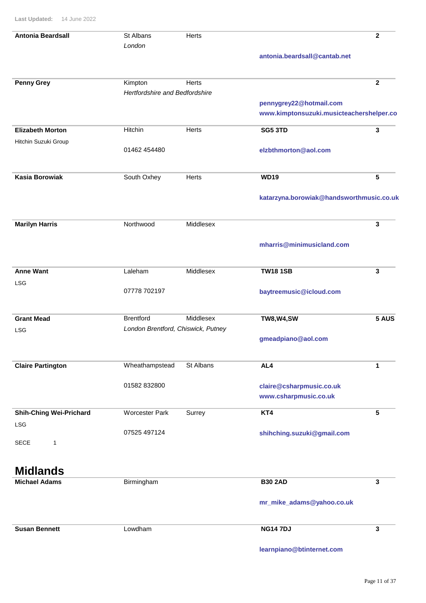| <b>Antonia Beardsall</b>       | St Albans                          | Herts        |                                          | $\mathbf{2}$ |
|--------------------------------|------------------------------------|--------------|------------------------------------------|--------------|
|                                | London                             |              |                                          |              |
|                                |                                    |              | antonia.beardsall@cantab.net             |              |
|                                |                                    |              |                                          |              |
| <b>Penny Grey</b>              | Kimpton                            | <b>Herts</b> |                                          | $\mathbf{2}$ |
|                                | Hertfordshire and Bedfordshire     |              |                                          |              |
|                                |                                    |              | pennygrey22@hotmail.com                  |              |
|                                |                                    |              | www.kimptonsuzuki.musicteachershelper.co |              |
| <b>Elizabeth Morton</b>        | Hitchin                            | <b>Herts</b> | <b>SG5 3TD</b>                           | $\mathbf{3}$ |
| Hitchin Suzuki Group           |                                    |              |                                          |              |
|                                | 01462 454480                       |              | elzbthmorton@aol.com                     |              |
| <b>Kasia Borowiak</b>          | South Oxhey                        | <b>Herts</b> | <b>WD19</b>                              | 5            |
|                                |                                    |              | katarzyna.borowiak@handsworthmusic.co.uk |              |
| <b>Marilyn Harris</b>          | Northwood                          | Middlesex    |                                          | 3            |
|                                |                                    |              | mharris@minimusicland.com                |              |
| <b>Anne Want</b>               | Laleham                            | Middlesex    | <b>TW18 1SB</b>                          | 3            |
| LSG                            |                                    |              |                                          |              |
|                                | 07778 702197                       |              | baytreemusic@icloud.com                  |              |
| <b>Grant Mead</b>              | <b>Brentford</b>                   | Middlesex    | <b>TW8, W4, SW</b>                       | 5 AUS        |
| LSG                            | London Brentford, Chiswick, Putney |              |                                          |              |
|                                |                                    |              | gmeadpiano@aol.com                       |              |
| <b>Claire Partington</b>       | Wheathampstead                     | St Albans    | AL4                                      | 1            |
|                                | 01582 832800                       |              | claire@csharpmusic.co.uk                 |              |
|                                |                                    |              | www.csharpmusic.co.uk                    |              |
| <b>Shih-Ching Wei-Prichard</b> | <b>Worcester Park</b>              | Surrey       | KT4                                      | 5            |
| LSG                            |                                    |              |                                          |              |
| <b>SECE</b><br>1               | 07525 497124                       |              | shihching.suzuki@gmail.com               |              |
|                                |                                    |              |                                          |              |
| <b>Midlands</b>                |                                    |              |                                          |              |
| <b>Michael Adams</b>           | Birmingham                         |              | <b>B30 2AD</b>                           | 3            |
|                                |                                    |              |                                          |              |

**mr\_mike\_adams@yahoo.co.uk**

**Susan Bennett NG14 7DJ 3** 

Lowdham

**learnpiano@btinternet.com**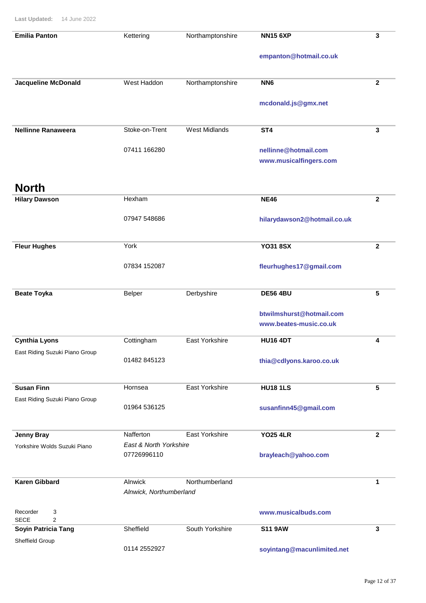| <b>Emilia Panton</b>                           | Kettering                             | Northamptonshire      | <b>NN15 6XP</b>                                    | 3            |
|------------------------------------------------|---------------------------------------|-----------------------|----------------------------------------------------|--------------|
|                                                |                                       |                       | empanton@hotmail.co.uk                             |              |
| <b>Jacqueline McDonald</b>                     | West Haddon                           | Northamptonshire      | NN <sub>6</sub>                                    | $\mathbf{2}$ |
|                                                |                                       |                       | mcdonald.js@gmx.net                                |              |
| <b>Nellinne Ranaweera</b>                      | Stoke-on-Trent                        | <b>West Midlands</b>  | ST <sub>4</sub>                                    | 3            |
|                                                | 07411 166280                          |                       | nellinne@hotmail.com<br>www.musicalfingers.com     |              |
| <b>North</b>                                   |                                       |                       |                                                    |              |
| <b>Hilary Dawson</b>                           | Hexham                                |                       | <b>NE46</b>                                        | $\mathbf{2}$ |
|                                                | 07947 548686                          |                       | hilarydawson2@hotmail.co.uk                        |              |
| <b>Fleur Hughes</b>                            | York                                  |                       | <b>YO31 8SX</b>                                    | $\mathbf{2}$ |
|                                                | 07834 152087                          |                       | fleurhughes17@gmail.com                            |              |
| <b>Beate Toyka</b>                             | <b>Belper</b>                         | Derbyshire            | <b>DE56 4BU</b>                                    | 5            |
|                                                |                                       |                       | btwilmshurst@hotmail.com<br>www.beates-music.co.uk |              |
| <b>Cynthia Lyons</b>                           | Cottingham                            | <b>East Yorkshire</b> | <b>HU16 4DT</b>                                    | 4            |
| East Riding Suzuki Piano Group                 | 01482 845123                          |                       | thia@cdlyons.karoo.co.uk                           |              |
| <b>Susan Finn</b>                              | Hornsea                               | <b>East Yorkshire</b> | <b>HU18 1LS</b>                                    | 5            |
| East Riding Suzuki Piano Group                 | 01964 536125                          |                       | susanfinn45@gmail.com                              |              |
| <b>Jenny Bray</b>                              | Nafferton                             | <b>East Yorkshire</b> | <b>YO25 4LR</b>                                    | $\mathbf{2}$ |
| Yorkshire Wolds Suzuki Piano                   | East & North Yorkshire<br>07726996110 |                       | brayleach@yahoo.com                                |              |
| <b>Karen Gibbard</b>                           | Alnwick<br>Alnwick, Northumberland    | Northumberland        |                                                    | 1            |
| Recorder<br>3<br><b>SECE</b><br>$\overline{2}$ |                                       |                       | www.musicalbuds.com                                |              |
| Soyin Patricia Tang                            | Sheffield                             | South Yorkshire       | <b>S11 9AW</b>                                     | 3            |
| Sheffield Group                                | 0114 2552927                          |                       | soyintang@macunlimited.net                         |              |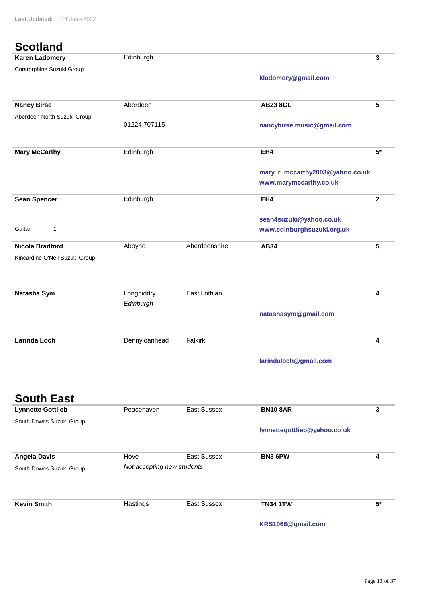#### **Scotland**

| <b>Scouanu</b>                 |               |               |                                 |              |
|--------------------------------|---------------|---------------|---------------------------------|--------------|
| <b>Karen Ladomery</b>          | Edinburgh     |               |                                 | 3            |
| Corstorphine Suzuki Group      |               |               |                                 |              |
|                                |               |               | kladomery@gmail.com             |              |
|                                |               |               |                                 |              |
| <b>Nancy Birse</b>             | Aberdeen      |               | <b>AB23 8GL</b>                 | 5            |
| Aberdeen North Suzuki Group    |               |               |                                 |              |
|                                | 01224 707115  |               | nancybirse.music@gmail.com      |              |
|                                |               |               |                                 |              |
| <b>Mary McCarthy</b>           | Edinburgh     |               | EH4                             | $5*$         |
|                                |               |               |                                 |              |
|                                |               |               | mary_r_mccarthy2003@yahoo.co.uk |              |
|                                |               |               | www.marymccarthy.co.uk          |              |
|                                |               |               |                                 |              |
| <b>Sean Spencer</b>            | Edinburgh     |               | EH4                             | $\mathbf{2}$ |
|                                |               |               | sean4suzuki@yahoo.co.uk         |              |
| Guitar<br>1                    |               |               |                                 |              |
|                                |               |               | www.edinburghsuzuki.org.uk      |              |
| <b>Nicola Bradford</b>         | Aboyne        | Aberdeenshire | <b>AB34</b>                     | 5            |
| Kincardine O'Neil Suzuki Group |               |               |                                 |              |
|                                |               |               |                                 |              |
|                                |               |               |                                 |              |
| Natasha Sym                    | Longniddry    | East Lothian  |                                 | 4            |
|                                | Edinburgh     |               |                                 |              |
|                                |               |               | natashasym@gmail.com            |              |
|                                |               |               |                                 |              |
| <b>Larinda Loch</b>            |               |               |                                 | 4            |
|                                | Dennyloanhead | Falkirk       |                                 |              |
|                                |               |               | larindaloch@gmail.com           |              |
|                                |               |               |                                 |              |
|                                |               |               |                                 |              |
|                                |               |               |                                 |              |
| <b>South East</b>              |               |               |                                 |              |

| <b>Lynnette Gottlieb</b> | Peacehaven                 | East Sussex | <b>BN10 8AR</b>              | 3    |
|--------------------------|----------------------------|-------------|------------------------------|------|
| South Downs Suzuki Group |                            |             |                              |      |
|                          |                            |             | lynnettegottlieb@yahoo.co.uk |      |
|                          |                            |             |                              |      |
| <b>Angela Davis</b>      | Hove                       | East Sussex | <b>BN3 6PW</b>               | 4    |
| South Downs Suzuki Group | Not accepting new students |             |                              |      |
|                          |                            |             |                              |      |
|                          |                            |             |                              |      |
| <b>Kevin Smith</b>       | Hastings                   | East Sussex | <b>TN34 1TW</b>              | $5*$ |
|                          |                            |             | KRS1066@gmail.com            |      |
|                          |                            |             |                              |      |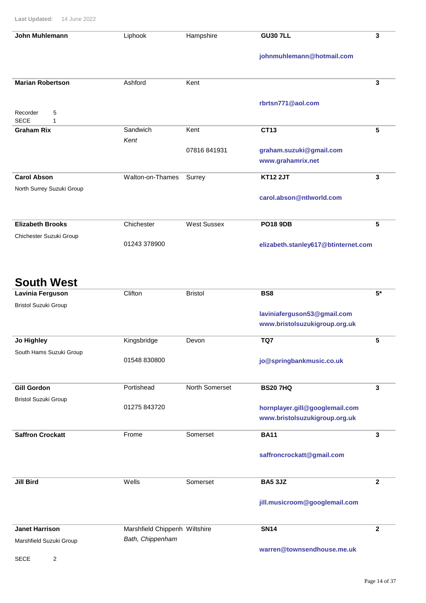| John Muhlemann                    | Liphook          | Hampshire          | <b>GU30 7LL</b>                     | 3 |
|-----------------------------------|------------------|--------------------|-------------------------------------|---|
|                                   |                  |                    | johnmuhlemann@hotmail.com           |   |
| <b>Marian Robertson</b>           | Ashford          | Kent               |                                     | 3 |
|                                   |                  |                    | rbrtsn771@aol.com                   |   |
| 5<br>Recorder<br><b>SECE</b><br>1 |                  |                    |                                     |   |
| <b>Graham Rix</b>                 | Sandwich         | Kent               | CT13                                | 5 |
|                                   | Kent             |                    |                                     |   |
|                                   |                  | 07816 841931       | graham.suzuki@gmail.com             |   |
|                                   |                  |                    | www.grahamrix.net                   |   |
| <b>Carol Abson</b>                | Walton-on-Thames | Surrey             | <b>KT12 2JT</b>                     | 3 |
| North Surrey Suzuki Group         |                  |                    | carol.abson@ntlworld.com            |   |
| <b>Elizabeth Brooks</b>           | Chichester       | <b>West Sussex</b> | <b>PO18 9DB</b>                     | 5 |
|                                   |                  |                    |                                     |   |
| Chichester Suzuki Group           | 01243 378900     |                    |                                     |   |
|                                   |                  |                    | elizabeth.stanley617@btinternet.com |   |

#### **South West**

| Lavinia Ferguson            | Clifton                       | <b>Bristol</b> | BS8                            | $5*$           |
|-----------------------------|-------------------------------|----------------|--------------------------------|----------------|
| <b>Bristol Suzuki Group</b> |                               |                |                                |                |
|                             |                               |                | laviniaferguson53@gmail.com    |                |
|                             |                               |                | www.bristolsuzukigroup.org.uk  |                |
| Jo Highley                  | Kingsbridge                   | Devon          | TQ7                            | 5              |
| South Hams Suzuki Group     |                               |                |                                |                |
|                             | 01548 830800                  |                | jo@springbankmusic.co.uk       |                |
| <b>Gill Gordon</b>          | Portishead                    | North Somerset | <b>BS207HQ</b>                 | 3              |
| <b>Bristol Suzuki Group</b> |                               |                |                                |                |
|                             | 01275 843720                  |                | hornplayer.gill@googlemail.com |                |
|                             |                               |                | www.bristolsuzukigroup.org.uk  |                |
| <b>Saffron Crockatt</b>     | Frome                         | Somerset       | <b>BA11</b>                    | 3              |
|                             |                               |                | saffroncrockatt@gmail.com      |                |
| <b>Jill Bird</b>            | Wells                         | Somerset       | <b>BA5 3JZ</b>                 | $\mathbf{2}$   |
|                             |                               |                | jill.musicroom@googlemail.com  |                |
| <b>Janet Harrison</b>       | Marshfield Chippenh Wiltshire |                | <b>SN14</b>                    | $\overline{2}$ |
| Marshfield Suzuki Group     | Bath, Chippenham              |                |                                |                |
|                             |                               |                | warren@townsendhouse.me.uk     |                |

SECE 2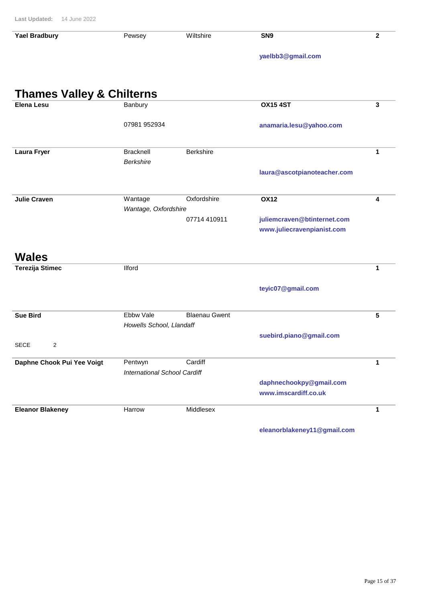| <b>Yael Bradbury</b>                 | Pewsey                              | Wiltshire            | SN <sub>9</sub>             | $\mathbf{2}$ |
|--------------------------------------|-------------------------------------|----------------------|-----------------------------|--------------|
|                                      |                                     |                      | yaelbb3@gmail.com           |              |
|                                      |                                     |                      |                             |              |
|                                      |                                     |                      |                             |              |
| <b>Thames Valley &amp; Chilterns</b> |                                     |                      |                             |              |
| <b>Elena Lesu</b>                    | Banbury                             |                      | <b>OX15 4ST</b>             | $\mathbf{3}$ |
|                                      | 07981 952934                        |                      | anamaria.lesu@yahoo.com     |              |
|                                      |                                     |                      |                             |              |
| <b>Laura Fryer</b>                   | <b>Bracknell</b>                    | <b>Berkshire</b>     |                             | 1            |
|                                      | <b>Berkshire</b>                    |                      |                             |              |
|                                      |                                     |                      | laura@ascotpianoteacher.com |              |
|                                      |                                     |                      |                             |              |
| <b>Julie Craven</b>                  | Wantage                             | Oxfordshire          | <b>OX12</b>                 | 4            |
|                                      | Wantage, Oxfordshire                | 07714 410911         | juliemcraven@btinternet.com |              |
|                                      |                                     |                      | www.juliecravenpianist.com  |              |
|                                      |                                     |                      |                             |              |
| <b>Wales</b>                         |                                     |                      |                             |              |
| <b>Terezija Stimec</b>               | <b>Ilford</b>                       |                      |                             | 1            |
|                                      |                                     |                      |                             |              |
|                                      |                                     |                      | teyic07@gmail.com           |              |
| <b>Sue Bird</b>                      | Ebbw Vale                           | <b>Blaenau Gwent</b> |                             | 5            |
|                                      | Howells School, Llandaff            |                      |                             |              |
|                                      |                                     |                      | suebird.piano@gmail.com     |              |
| <b>SECE</b><br>2                     |                                     |                      |                             |              |
| Daphne Chook Pui Yee Voigt           | Pentwyn                             | Cardiff              |                             | $\mathbf{1}$ |
|                                      | <b>International School Cardiff</b> |                      |                             |              |
|                                      |                                     |                      | daphnechookpy@gmail.com     |              |
|                                      |                                     |                      | www.imscardiff.co.uk        |              |
| <b>Eleanor Blakeney</b>              | Harrow                              | Middlesex            |                             | $\mathbf{1}$ |
|                                      |                                     |                      |                             |              |

**eleanorblakeney11@gmail.com**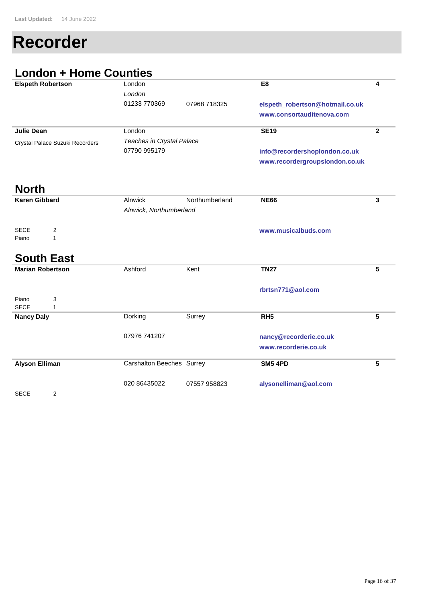# **Recorder**

# **London + Home Counties**

| <b>Elspeth Robertson</b>                  | London                    |                | E <sub>8</sub>                  | 4               |
|-------------------------------------------|---------------------------|----------------|---------------------------------|-----------------|
|                                           | London                    |                |                                 |                 |
|                                           | 01233 770369              | 07968 718325   | elspeth_robertson@hotmail.co.uk |                 |
|                                           |                           |                | www.consortauditenova.com       |                 |
|                                           |                           |                |                                 |                 |
| <b>Julie Dean</b>                         | London                    |                | <b>SE19</b>                     | $\mathbf{2}$    |
| Crystal Palace Suzuki Recorders           | Teaches in Crystal Palace |                |                                 |                 |
|                                           | 07790 995179              |                | info@recordershoplondon.co.uk   |                 |
|                                           |                           |                | www.recordergroupslondon.co.uk  |                 |
|                                           |                           |                |                                 |                 |
| <b>North</b>                              |                           |                |                                 |                 |
| <b>Karen Gibbard</b>                      | Alnwick                   | Northumberland | <b>NE66</b>                     | 3               |
|                                           | Alnwick, Northumberland   |                |                                 |                 |
|                                           |                           |                |                                 |                 |
| <b>SECE</b><br>$\overline{c}$             |                           |                | www.musicalbuds.com             |                 |
| Piano<br>1                                |                           |                |                                 |                 |
|                                           |                           |                |                                 |                 |
| <b>South East</b>                         |                           |                |                                 |                 |
| <b>Marian Robertson</b>                   | Ashford                   | Kent           | <b>TN27</b>                     | 5               |
|                                           |                           |                |                                 |                 |
|                                           |                           |                |                                 |                 |
|                                           |                           |                | rbrtsn771@aol.com               |                 |
| Piano<br>3<br><b>SECE</b><br>$\mathbf{1}$ |                           |                |                                 |                 |
|                                           | Dorking                   | Surrey         | RH <sub>5</sub>                 | 5               |
| <b>Nancy Daly</b>                         |                           |                |                                 |                 |
|                                           | 07976 741207              |                |                                 |                 |
|                                           |                           |                | nancy@recorderie.co.uk          |                 |
|                                           |                           |                | www.recorderie.co.uk            |                 |
| <b>Alyson Elliman</b>                     | Carshalton Beeches Surrey |                | <b>SM5 4PD</b>                  | $5\phantom{.0}$ |
|                                           |                           |                |                                 |                 |
|                                           | 020 86435022              | 07557 958823   | alysonelliman@aol.com           |                 |
| <b>SECE</b><br>2                          |                           |                |                                 |                 |
|                                           |                           |                |                                 |                 |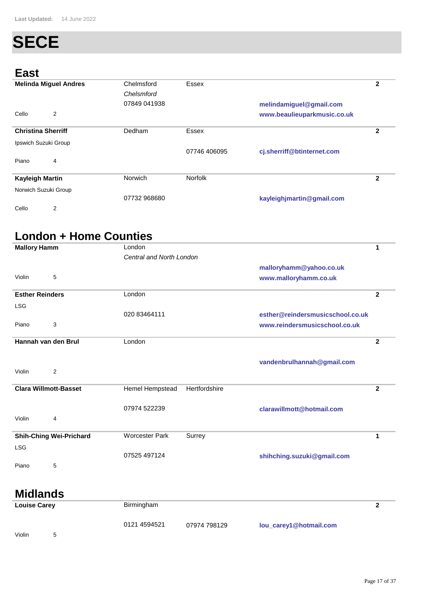# **SECE**

#### **East**

| <b>Melinda Miguel Andres</b> | Chelmsford<br>Chelsmford | Essex          |                             | 2 |
|------------------------------|--------------------------|----------------|-----------------------------|---|
|                              | 07849 041938             |                | melindamiguel@gmail.com     |   |
| 2<br>Cello                   |                          |                | www.beaulieuparkmusic.co.uk |   |
| <b>Christina Sherriff</b>    | Dedham                   | Essex          |                             | 2 |
| Ipswich Suzuki Group         |                          |                |                             |   |
|                              |                          | 07746 406095   | cj.sherriff@btinternet.com  |   |
| Piano<br>4                   |                          |                |                             |   |
| <b>Kayleigh Martin</b>       | Norwich                  | <b>Norfolk</b> |                             | 2 |
| Norwich Suzuki Group         |                          |                |                             |   |
|                              | 07732 968680             |                | kayleighjmartin@gmail.com   |   |
| 2<br>Cello                   |                          |                |                             |   |

# **London + Home Counties**

| <b>Mallory Hamm</b>          |                                | London<br>1              |               |                                  |                |
|------------------------------|--------------------------------|--------------------------|---------------|----------------------------------|----------------|
|                              |                                | Central and North London |               |                                  |                |
|                              |                                |                          |               | malloryhamm@yahoo.co.uk          |                |
| Violin                       | 5                              |                          |               | www.malloryhamm.co.uk            |                |
| <b>Esther Reinders</b>       |                                | London                   |               |                                  | $\overline{2}$ |
| <b>LSG</b>                   |                                |                          |               |                                  |                |
|                              |                                | 020 83464111             |               | esther@reindersmusicschool.co.uk |                |
| Piano                        | 3                              |                          |               | www.reindersmusicschool.co.uk    |                |
| Hannah van den Brul          |                                | London                   |               |                                  | 2              |
|                              |                                |                          |               |                                  |                |
| Violin                       | 2                              |                          |               | vandenbrulhannah@gmail.com       |                |
|                              |                                |                          |               |                                  |                |
| <b>Clara Willmott-Basset</b> |                                | Hemel Hempstead          | Hertfordshire |                                  | $\overline{2}$ |
|                              |                                |                          |               |                                  |                |
|                              |                                | 07974 522239             |               | clarawillmott@hotmail.com        |                |
| Violin                       | 4                              |                          |               |                                  |                |
|                              | <b>Shih-Ching Wei-Prichard</b> | <b>Worcester Park</b>    | Surrey        |                                  | 1              |
| <b>LSG</b>                   |                                |                          |               |                                  |                |
|                              |                                | 07525 497124             |               | shihching.suzuki@gmail.com       |                |
| Piano                        | 5                              |                          |               |                                  |                |
|                              |                                |                          |               |                                  |                |
| <b>Midlands</b>              |                                |                          |               |                                  |                |

| <b>Louise Carey</b> | Birmingham   |              |                        |  |
|---------------------|--------------|--------------|------------------------|--|
| Violin<br>5         | 0121 4594521 | 07974 798129 | lou_carey1@hotmail.com |  |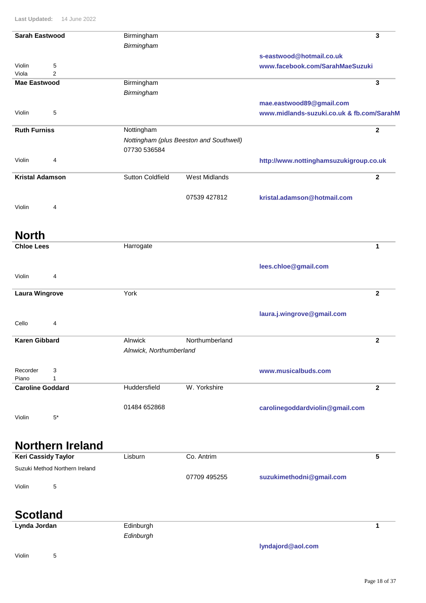|                                  | <b>Last Updated:</b> 14 June 2022 |                         |                                         |                                           |              |
|----------------------------------|-----------------------------------|-------------------------|-----------------------------------------|-------------------------------------------|--------------|
| <b>Sarah Eastwood</b>            |                                   | Birmingham              |                                         |                                           | 3            |
|                                  |                                   | Birmingham              |                                         |                                           |              |
|                                  |                                   |                         |                                         | s-eastwood@hotmail.co.uk                  |              |
| Violin<br>Viola                  | 5<br>$\overline{2}$               |                         |                                         | www.facebook.com/SarahMaeSuzuki           |              |
| <b>Mae Eastwood</b>              |                                   | Birmingham              |                                         |                                           | 3            |
|                                  |                                   | Birmingham              |                                         |                                           |              |
|                                  |                                   |                         |                                         | mae.eastwood89@gmail.com                  |              |
| Violin                           | 5                                 |                         |                                         | www.midlands-suzuki.co.uk & fb.com/SarahM |              |
| <b>Ruth Furniss</b>              |                                   | Nottingham              |                                         |                                           | $\mathbf{2}$ |
|                                  |                                   |                         | Nottingham (plus Beeston and Southwell) |                                           |              |
|                                  |                                   | 07730 536584            |                                         |                                           |              |
| Violin                           | 4                                 |                         |                                         | http://www.nottinghamsuzukigroup.co.uk    |              |
|                                  |                                   |                         |                                         |                                           |              |
| <b>Kristal Adamson</b>           |                                   | <b>Sutton Coldfield</b> | <b>West Midlands</b>                    |                                           | $\mathbf 2$  |
|                                  |                                   |                         | 07539 427812                            | kristal.adamson@hotmail.com               |              |
| Violin                           | 4                                 |                         |                                         |                                           |              |
|                                  |                                   |                         |                                         |                                           |              |
|                                  |                                   |                         |                                         |                                           |              |
| <b>North</b>                     |                                   |                         |                                         |                                           |              |
| <b>Chloe Lees</b>                |                                   | Harrogate               |                                         |                                           | 1            |
|                                  |                                   |                         |                                         |                                           |              |
| Violin                           | 4                                 |                         |                                         | lees.chloe@gmail.com                      |              |
|                                  |                                   |                         |                                         |                                           |              |
| <b>Laura Wingrove</b>            |                                   | York                    |                                         |                                           | $\mathbf{2}$ |
|                                  |                                   |                         |                                         |                                           |              |
|                                  |                                   |                         |                                         | laura.j.wingrove@gmail.com                |              |
| Cello                            | 4                                 |                         |                                         |                                           |              |
| <b>Karen Gibbard</b>             |                                   | Alnwick                 | Northumberland                          |                                           | $\mathbf 2$  |
|                                  |                                   | Alnwick, Northumberland |                                         |                                           |              |
|                                  |                                   |                         |                                         |                                           |              |
| Recorder                         | 3                                 |                         |                                         | www.musicalbuds.com                       |              |
| Piano<br><b>Caroline Goddard</b> | 1                                 | Huddersfield            | W. Yorkshire                            |                                           | $\mathbf{2}$ |
|                                  |                                   |                         |                                         |                                           |              |
|                                  |                                   | 01484 652868            |                                         | carolinegoddardviolin@gmail.com           |              |
| Violin                           | $5*$                              |                         |                                         |                                           |              |
|                                  |                                   |                         |                                         |                                           |              |
|                                  |                                   |                         |                                         |                                           |              |
|                                  | <b>Northern Ireland</b>           |                         |                                         |                                           |              |
| <b>Keri Cassidy Taylor</b>       |                                   | Lisburn                 | Co. Antrim                              |                                           | 5            |
|                                  | Suzuki Method Northern Ireland    |                         |                                         |                                           |              |
|                                  |                                   |                         | 07709 495255                            | suzukimethodni@gmail.com                  |              |
| Violin                           | 5                                 |                         |                                         |                                           |              |
|                                  |                                   |                         |                                         |                                           |              |
| <b>Scotland</b>                  |                                   |                         |                                         |                                           |              |
| Lynda Jordan                     |                                   | Edinburgh               |                                         |                                           | 1            |
|                                  |                                   | Edinburgh               |                                         |                                           |              |

**lyndajord@aol.com**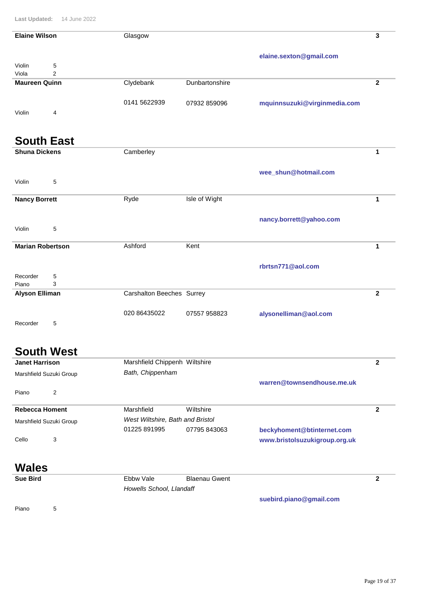| Last Updated:           | 14 June 2022        |                               |                |                              |                         |
|-------------------------|---------------------|-------------------------------|----------------|------------------------------|-------------------------|
| <b>Elaine Wilson</b>    |                     | Glasgow                       |                |                              | 3                       |
|                         |                     |                               |                |                              |                         |
|                         |                     |                               |                | elaine.sexton@gmail.com      |                         |
| Violin<br>Viola         | 5<br>$\overline{2}$ |                               |                |                              |                         |
| <b>Maureen Quinn</b>    |                     |                               | Dunbartonshire |                              | $\overline{2}$          |
|                         |                     | Clydebank                     |                |                              |                         |
|                         |                     |                               |                |                              |                         |
|                         |                     | 0141 5622939                  | 07932 859096   | mquinnsuzuki@virginmedia.com |                         |
| Violin                  | 4                   |                               |                |                              |                         |
|                         |                     |                               |                |                              |                         |
|                         |                     |                               |                |                              |                         |
| <b>South East</b>       |                     |                               |                |                              |                         |
| <b>Shuna Dickens</b>    |                     | Camberley                     |                |                              | 1                       |
|                         |                     |                               |                |                              |                         |
|                         |                     |                               |                | wee_shun@hotmail.com         |                         |
| Violin                  | 5                   |                               |                |                              |                         |
| <b>Nancy Borrett</b>    |                     | Ryde                          | Isle of Wight  |                              | $\mathbf{1}$            |
|                         |                     |                               |                |                              |                         |
|                         |                     |                               |                |                              |                         |
|                         |                     |                               |                | nancy.borrett@yahoo.com      |                         |
| Violin                  | 5                   |                               |                |                              |                         |
| <b>Marian Robertson</b> |                     | Ashford                       | Kent           |                              | $\mathbf{1}$            |
|                         |                     |                               |                |                              |                         |
|                         |                     |                               |                | rbrtsn771@aol.com            |                         |
| Recorder                | 5                   |                               |                |                              |                         |
| Piano                   | 3                   |                               |                |                              |                         |
| <b>Alyson Elliman</b>   |                     | Carshalton Beeches Surrey     |                |                              | $\mathbf{2}$            |
|                         |                     |                               |                |                              |                         |
|                         |                     | 020 86435022                  | 07557 958823   | alysonelliman@aol.com        |                         |
| Recorder                | 5                   |                               |                |                              |                         |
|                         |                     |                               |                |                              |                         |
|                         |                     |                               |                |                              |                         |
|                         | <b>South West</b>   |                               |                |                              |                         |
|                         |                     |                               |                |                              |                         |
| <b>Janet Harrison</b>   |                     | Marshfield Chippenh Wiltshire |                |                              | $\overline{\mathbf{2}}$ |

| Marshfield Suzuki Group | Bath, Chippenham                 |              |                               |  |
|-------------------------|----------------------------------|--------------|-------------------------------|--|
| Piano<br>2              |                                  |              | warren@townsendhouse.me.uk    |  |
| <b>Rebecca Homent</b>   | Marshfield                       | Wiltshire    |                               |  |
| Marshfield Suzuki Group | West Wiltshire, Bath and Bristol |              |                               |  |
|                         | 01225 891995                     | 07795 843063 | beckyhoment@btinternet.com    |  |
| Cello<br>3              |                                  |              | www.bristolsuzukigroup.org.uk |  |

### **Wales**

| <b>Sue Bird</b> | Ebbw Vale                | Blaenau Gwent |                         |  |
|-----------------|--------------------------|---------------|-------------------------|--|
|                 | Howells School, Llandaff |               |                         |  |
|                 |                          |               | suebird.piano@gmail.com |  |

Piano 5

**suebird.piano@gmail.com**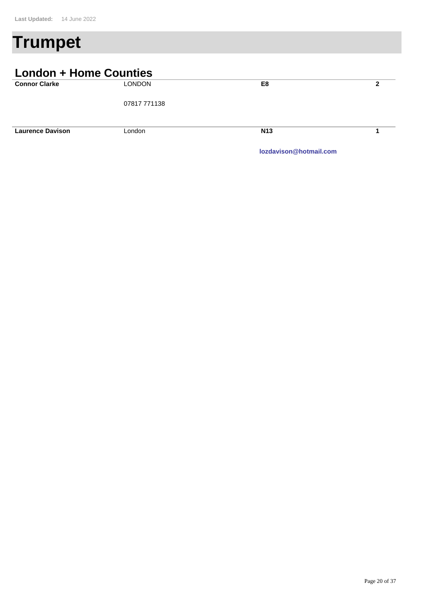# **Trumpet**

#### **London + Home Counties Connor Clarke** LONDON **2** 07817 771138 **E8** London **Laurence Davison N13 1**

**lozdavison@hotmail.com**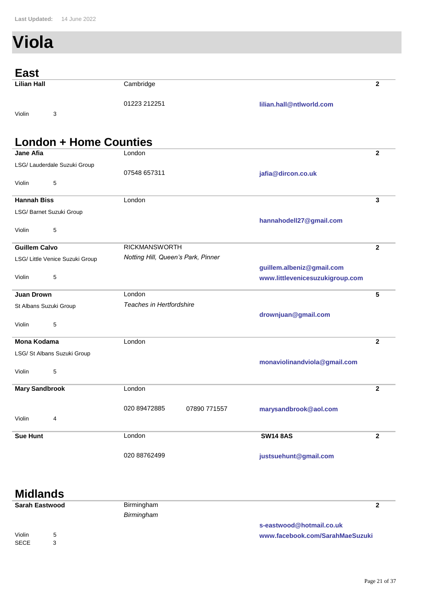# **Viola**

| <b>East</b>        |              |                          |  |
|--------------------|--------------|--------------------------|--|
| <b>Lilian Hall</b> | Cambridge    |                          |  |
| Violin<br>ว<br>ر   | 01223 212251 | lilian.hall@ntlworld.com |  |

#### **London + Home Counties London jafia@dircon.co.uk Jane Afia 2** 07548 657311 LSG/ Lauderdale Suzuki Group Violin 5 London **hannahodell27@gmail.com Hannah Biss 3** LSG/ Barnet Suzuki Group Violin 5 RICKMANSWORTH **Guillem Calvo 2 guillem.albeniz@gmail.com www.littlevenicesuzukigroup.com** LSG/ Little Venice Suzuki Group *Notting Hill, Queen's Park, Pinner* Violin 5 **London drownjuan@gmail.com Juan Drown 5** St Albans Suzuki Group *Teaches in Hertfordshire* Violin 5 London **monaviolinandviola@gmail.com Mona Kodama 2** LSG/ St Albans Suzuki Group Violin 5 London **marysandbrook@aol.com Mary Sandbrook 2 2** 020 89472885 07890 771557 Violin 4 London **justsuehunt@gmail.com Sue Hunt 2** 020 88762499 **SW14 8AS**

# **Midlands**

| <b>Sarah Eastwood</b> |   | Birmingham |                                 |
|-----------------------|---|------------|---------------------------------|
|                       |   | Birmingham |                                 |
|                       |   |            | s-eastwood@hotmail.co.uk        |
| Violin                | 5 |            | www.facebook.com/SarahMaeSuzuki |
| <b>SECE</b>           |   |            |                                 |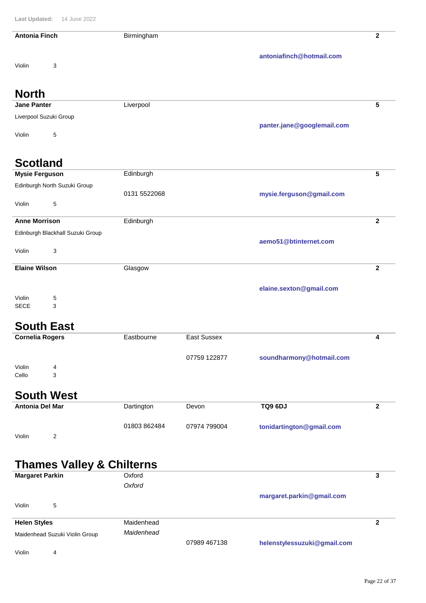| <b>Antonia Finch</b>   |                                      | Birmingham       |                    |                            | $\overline{\mathbf{2}}$ |
|------------------------|--------------------------------------|------------------|--------------------|----------------------------|-------------------------|
|                        |                                      |                  |                    | antoniafinch@hotmail.com   |                         |
| Violin                 | 3                                    |                  |                    |                            |                         |
| <b>North</b>           |                                      |                  |                    |                            |                         |
| <b>Jane Panter</b>     |                                      | Liverpool        |                    |                            | 5                       |
|                        | Liverpool Suzuki Group               |                  |                    |                            |                         |
| Violin                 | 5                                    |                  |                    | panter.jane@googlemail.com |                         |
| <b>Scotland</b>        |                                      |                  |                    |                            |                         |
| <b>Mysie Ferguson</b>  |                                      | Edinburgh        |                    |                            | 5                       |
|                        | Edinburgh North Suzuki Group         | 0131 5522068     |                    | mysie.ferguson@gmail.com   |                         |
| Violin                 | 5                                    |                  |                    |                            |                         |
| <b>Anne Morrison</b>   |                                      | Edinburgh        |                    |                            | $\overline{\mathbf{2}}$ |
|                        | Edinburgh Blackhall Suzuki Group     |                  |                    |                            |                         |
| Violin                 | 3                                    |                  |                    | aemo51@btinternet.com      |                         |
| <b>Elaine Wilson</b>   |                                      | Glasgow          |                    |                            | $\mathbf{2}$            |
|                        |                                      |                  |                    |                            |                         |
| Violin                 | 5                                    |                  |                    | elaine.sexton@gmail.com    |                         |
| <b>SECE</b>            | 3                                    |                  |                    |                            |                         |
|                        | <b>South East</b>                    |                  |                    |                            |                         |
| <b>Cornelia Rogers</b> |                                      | Eastbourne       | <b>East Sussex</b> |                            | 4                       |
|                        |                                      |                  | 07759 122877       | soundharmony@hotmail.com   |                         |
| Violin                 | 4                                    |                  |                    |                            |                         |
| Cello                  | 3                                    |                  |                    |                            |                         |
|                        | <b>South West</b>                    |                  |                    |                            |                         |
| Antonia Del Mar        |                                      | Dartington       | Devon              | <b>TQ9 6DJ</b>             | $\mathbf{2}$            |
|                        |                                      | 01803 862484     | 07974 799004       | tonidartington@gmail.com   |                         |
| Violin                 | 2                                    |                  |                    |                            |                         |
|                        |                                      |                  |                    |                            |                         |
|                        | <b>Thames Valley &amp; Chilterns</b> |                  |                    |                            |                         |
| <b>Margaret Parkin</b> |                                      | Oxford<br>Oxford |                    |                            | 3                       |
|                        |                                      |                  |                    | margaret.parkin@gmail.com  |                         |
|                        |                                      |                  |                    |                            |                         |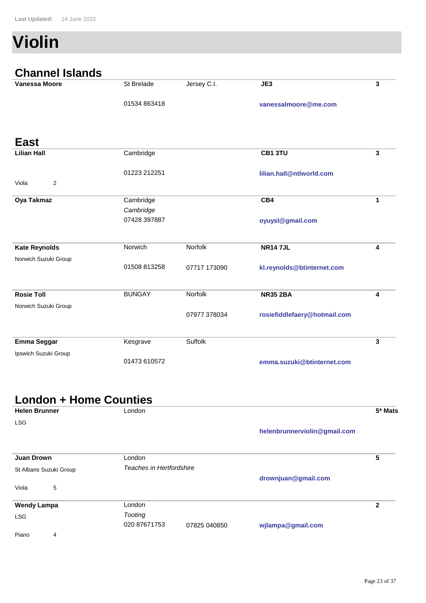# **Violin**

| <b>Channel Islands</b> |               |              |                              |              |
|------------------------|---------------|--------------|------------------------------|--------------|
| <b>Vanessa Moore</b>   | St Brelade    | Jersey C.I.  | JE3                          | $\mathbf{3}$ |
|                        | 01534 863418  |              | vanessalmoore@me.com         |              |
| <b>East</b>            |               |              |                              |              |
| <b>Lilian Hall</b>     | Cambridge     |              | CB1 3TU                      | 3            |
|                        | 01223 212251  |              | lilian.hall@ntlworld.com     |              |
| 2<br>Viola             |               |              |                              |              |
| Oya Takmaz             | Cambridge     |              | CB4                          | 1            |
|                        | Cambridge     |              |                              |              |
|                        | 07428 397887  |              | oyuysl@gmail.com             |              |
| <b>Kate Reynolds</b>   | Norwich       | Norfolk      | <b>NR147JL</b>               | 4            |
| Norwich Suzuki Group   |               |              |                              |              |
|                        | 01508 813258  | 07717 173090 | kl.reynolds@btinternet.com   |              |
| <b>Rosie Toll</b>      | <b>BUNGAY</b> | Norfolk      | <b>NR35 2BA</b>              | 4            |
| Norwich Suzuki Group   |               |              |                              |              |
|                        |               | 07977 378034 | rosiefiddlefaery@hotmail.com |              |
| <b>Emma Seggar</b>     | Kesgrave      | Suffolk      |                              | 3            |
| Ipswich Suzuki Group   |               |              |                              |              |
|                        | 01473 610572  |              | emma.suzuki@btinternet.com   |              |

# **London + Home Counties**

| <b>Helen Brunner</b>   | London                   |              |                              | 5* Mats      |
|------------------------|--------------------------|--------------|------------------------------|--------------|
| <b>LSG</b>             |                          |              |                              |              |
|                        |                          |              | helenbrunnerviolin@gmail.com |              |
| <b>Juan Drown</b>      | London                   |              |                              | 5            |
| St Albans Suzuki Group | Teaches in Hertfordshire |              |                              |              |
|                        |                          |              | drownjuan@gmail.com          |              |
| 5<br>Viola             |                          |              |                              |              |
| <b>Wendy Lampa</b>     | London                   |              |                              | $\mathbf{2}$ |
| <b>LSG</b>             | Tooting                  |              |                              |              |
|                        | 020 87671753             | 07825 040850 | wjlampa@gmail.com            |              |
| Piano<br>4             |                          |              |                              |              |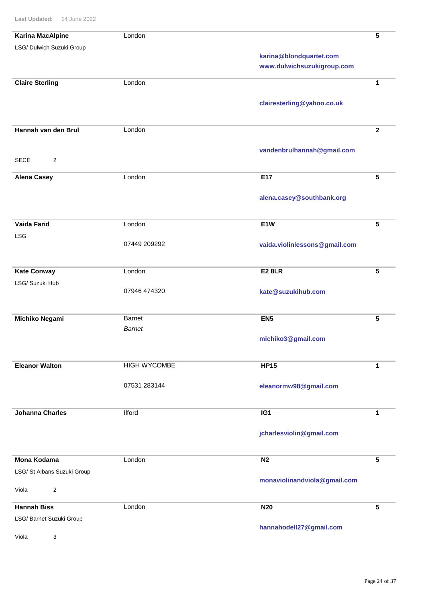| <b>Karina MacAlpine</b>     | London              |                               | 5               |
|-----------------------------|---------------------|-------------------------------|-----------------|
| LSG/ Dulwich Suzuki Group   |                     | karina@blondquartet.com       |                 |
|                             |                     | www.dulwichsuzukigroup.com    |                 |
|                             |                     |                               |                 |
| <b>Claire Sterling</b>      | London              |                               | 1               |
|                             |                     |                               |                 |
|                             |                     | clairesterling@yahoo.co.uk    |                 |
|                             |                     |                               |                 |
| Hannah van den Brul         | London              |                               | $\mathbf{2}$    |
|                             |                     |                               |                 |
| <b>SECE</b><br>2            |                     | vandenbrulhannah@gmail.com    |                 |
|                             |                     |                               |                 |
| <b>Alena Casey</b>          | London              | E17                           | 5               |
|                             |                     |                               |                 |
|                             |                     | alena.casey@southbank.org     |                 |
|                             |                     |                               |                 |
| <b>Vaida Farid</b>          | London              | E1W                           | 5               |
| <b>LSG</b>                  |                     |                               |                 |
|                             | 07449 209292        | vaida.violinlessons@gmail.com |                 |
|                             |                     |                               |                 |
| <b>Kate Conway</b>          | London              | <b>E2 8LR</b>                 | 5               |
| LSG/ Suzuki Hub             |                     |                               |                 |
|                             | 07946 474320        | kate@suzukihub.com            |                 |
|                             |                     |                               |                 |
| <b>Michiko Negami</b>       | Barnet              | EN <sub>5</sub>               | 5               |
|                             | <b>Barnet</b>       |                               |                 |
|                             |                     | michiko3@gmail.com            |                 |
|                             |                     |                               |                 |
| <b>Eleanor Walton</b>       | <b>HIGH WYCOMBE</b> | <b>HP15</b>                   | $\mathbf 1$     |
|                             |                     |                               |                 |
|                             | 07531 283144        | eleanormw98@gmail.com         |                 |
|                             |                     |                               |                 |
| <b>Johanna Charles</b>      | <b>Ilford</b>       | IG1                           | $\mathbf 1$     |
|                             |                     |                               |                 |
|                             |                     | jcharlesviolin@gmail.com      |                 |
|                             |                     |                               |                 |
| <b>Mona Kodama</b>          | London              | N <sub>2</sub>                | 5               |
| LSG/ St Albans Suzuki Group |                     |                               |                 |
|                             |                     | monaviolinandviola@gmail.com  |                 |
| $\overline{c}$<br>Viola     |                     |                               |                 |
| <b>Hannah Biss</b>          | London              | <b>N20</b>                    | $5\phantom{.0}$ |
| LSG/ Barnet Suzuki Group    |                     |                               |                 |
|                             |                     | hannahodell27@gmail.com       |                 |
| Viola<br>3                  |                     |                               |                 |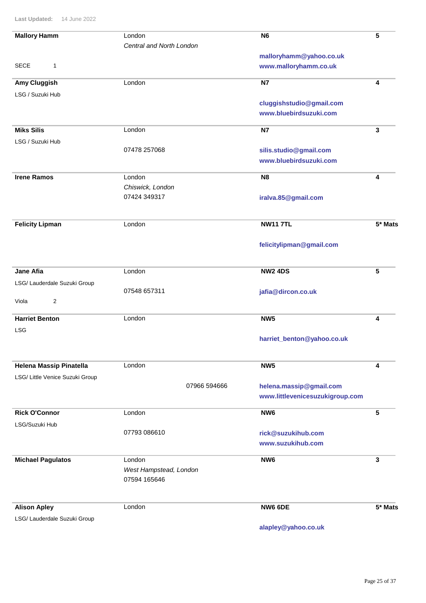| <b>Mallory Hamm</b>             | London                   | <b>N6</b>                       | 5         |
|---------------------------------|--------------------------|---------------------------------|-----------|
|                                 | Central and North London |                                 |           |
|                                 |                          | malloryhamm@yahoo.co.uk         |           |
| <b>SECE</b><br>1                |                          | www.malloryhamm.co.uk           |           |
| Amy Cluggish                    | London                   | <b>N7</b>                       | 4         |
| LSG / Suzuki Hub                |                          |                                 |           |
|                                 |                          | cluggishstudio@gmail.com        |           |
|                                 |                          | www.bluebirdsuzuki.com          |           |
| <b>Miks Silis</b>               | London                   | N7                              | 3         |
| LSG / Suzuki Hub                |                          |                                 |           |
|                                 | 07478 257068             | silis.studio@gmail.com          |           |
|                                 |                          | www.bluebirdsuzuki.com          |           |
| <b>Irene Ramos</b>              | London                   | N <sub>8</sub>                  | 4         |
|                                 | Chiswick, London         |                                 |           |
|                                 | 07424 349317             | iralva.85@gmail.com             |           |
|                                 |                          |                                 |           |
| <b>Felicity Lipman</b>          | London                   | <b>NW117TL</b>                  | $5*$ Mats |
|                                 |                          | felicitylipman@gmail.com        |           |
|                                 |                          |                                 |           |
| <b>Jane Afia</b>                | London                   | <b>NW2 4DS</b>                  | 5         |
| LSG/ Lauderdale Suzuki Group    |                          |                                 |           |
|                                 | 07548 657311             | jafia@dircon.co.uk              |           |
| 2<br>Viola                      |                          |                                 |           |
| <b>Harriet Benton</b>           | London                   | NW <sub>5</sub>                 | 4         |
| <b>LSG</b>                      |                          |                                 |           |
|                                 |                          | harriet_benton@yahoo.co.uk      |           |
|                                 |                          |                                 |           |
| Helena Massip Pinatella         | London                   | NW <sub>5</sub>                 | 4         |
| LSG/ Little Venice Suzuki Group | 07966 594666             | helena.massip@gmail.com         |           |
|                                 |                          | www.littlevenicesuzukigroup.com |           |
|                                 |                          |                                 |           |
| <b>Rick O'Connor</b>            | London                   | NW <sub>6</sub>                 | 5         |
| LSG/Suzuki Hub                  |                          |                                 |           |
|                                 | 07793 086610             | rick@suzukihub.com              |           |
|                                 |                          | www.suzukihub.com               |           |
| <b>Michael Pagulatos</b>        | London                   | NW <sub>6</sub>                 | 3         |
|                                 | West Hampstead, London   |                                 |           |
|                                 | 07594 165646             |                                 |           |
| <b>Alison Apley</b>             | London                   | NW6 6DE                         | 5* Mats   |
| LSG/ Lauderdale Suzuki Group    |                          |                                 |           |
|                                 |                          |                                 |           |

**alapley@yahoo.co.uk**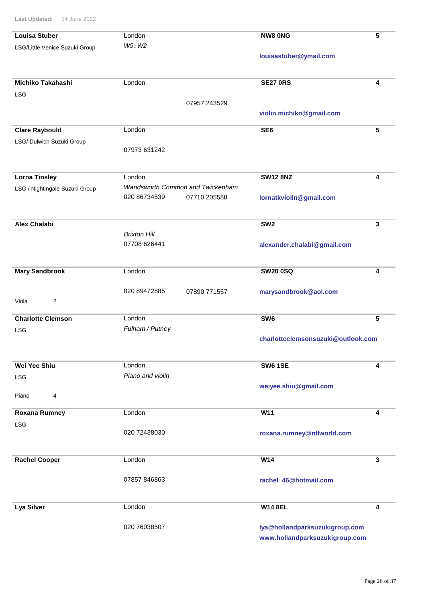| <b>Louisa Stuber</b>           | London                           | <b>NW8 ONG</b>                     | 5               |
|--------------------------------|----------------------------------|------------------------------------|-----------------|
| LSG/Little Venice Suzuki Group | W9, W2                           |                                    |                 |
|                                |                                  | louisastuber@ymail.com             |                 |
| Michiko Takahashi              | London                           | <b>SE27 0RS</b>                    | 4               |
| <b>LSG</b>                     |                                  |                                    |                 |
|                                | 07957 243529                     |                                    |                 |
|                                |                                  | violin.michiko@gmail.com           |                 |
| <b>Clare Raybould</b>          | London                           | SE <sub>6</sub>                    | $5\phantom{.0}$ |
| LSG/ Dulwich Suzuki Group      |                                  |                                    |                 |
|                                | 07973 631242                     |                                    |                 |
| <b>Lorna Tinsley</b>           | London                           | <b>SW12 8NZ</b>                    | 4               |
| LSG / Nightingale Suzuki Group | Wandsworth Common and Twickenham |                                    |                 |
|                                | 020 86734539<br>07710 205588     | lornatkviolin@gmail.com            |                 |
| <b>Alex Chalabi</b>            |                                  | SW <sub>2</sub>                    | 3               |
|                                | <b>Brixton Hill</b>              |                                    |                 |
|                                | 07708 626441                     | alexander.chalabi@gmail.com        |                 |
| <b>Mary Sandbrook</b>          | London                           | <b>SW20 0SQ</b>                    | 4               |
|                                | 020 89472885<br>07890 771557     | marysandbrook@aol.com              |                 |
| Viola<br>$\overline{c}$        |                                  |                                    |                 |
| <b>Charlotte Clemson</b>       | London                           | SW <sub>6</sub>                    | 5               |
| <b>LSG</b>                     | Fulham / Putney                  |                                    |                 |
|                                |                                  | charlotteclemsonsuzuki@outlook.com |                 |
| <b>Wei Yee Shiu</b>            | London                           | <b>SW6 1SE</b>                     | 4               |
| <b>LSG</b>                     | Piano and violin                 |                                    |                 |
|                                |                                  | weiyee.shiu@gmail.com              |                 |
| Piano<br>4                     |                                  |                                    |                 |
| <b>Roxana Rumney</b>           | London                           | W11                                | 4               |
| <b>LSG</b>                     |                                  |                                    |                 |
|                                | 020 72438030                     | roxana.rumney@ntlworld.com         |                 |
| <b>Rachel Cooper</b>           | London                           | W14                                | 3               |
|                                |                                  |                                    |                 |
|                                | 07857 846863                     | rachel_46@hotmail.com              |                 |
| <b>Lya Silver</b>              | London                           | <b>W14 8EL</b>                     | 4               |
|                                | 020 76038507                     | lya@hollandparksuzukigroup.com     |                 |
|                                |                                  | www.hollandparksuzukigroup.com     |                 |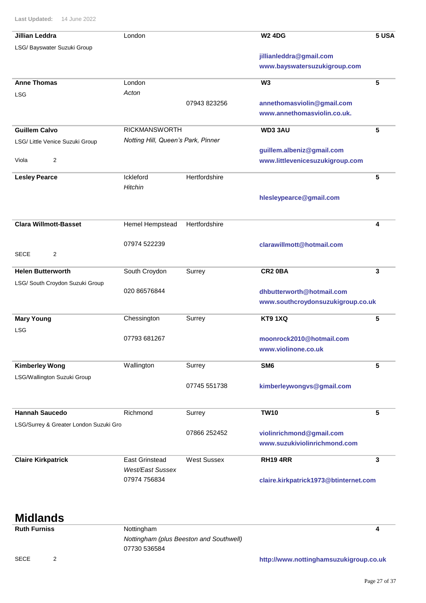| <b>Jillian Leddra</b>                  | London                             |                    | <b>W2 4DG</b>                         | 5 USA |
|----------------------------------------|------------------------------------|--------------------|---------------------------------------|-------|
| LSG/ Bayswater Suzuki Group            |                                    |                    |                                       |       |
|                                        |                                    |                    | jillianleddra@gmail.com               |       |
|                                        |                                    |                    | www.bayswatersuzukigroup.com          |       |
| <b>Anne Thomas</b>                     | London                             |                    | W <sub>3</sub>                        | 5     |
| <b>LSG</b>                             | Acton                              |                    |                                       |       |
|                                        |                                    | 07943 823256       | annethomasviolin@gmail.com            |       |
|                                        |                                    |                    | www.annethomasviolin.co.uk.           |       |
| <b>Guillem Calvo</b>                   | <b>RICKMANSWORTH</b>               |                    | WD33AU                                | 5     |
| LSG/ Little Venice Suzuki Group        | Notting Hill, Queen's Park, Pinner |                    |                                       |       |
|                                        |                                    |                    | guillem.albeniz@gmail.com             |       |
| 2<br>Viola                             |                                    |                    | www.littlevenicesuzukigroup.com       |       |
| <b>Lesley Pearce</b>                   | Ickleford                          | Hertfordshire      |                                       | 5     |
|                                        | Hitchin                            |                    |                                       |       |
|                                        |                                    |                    | hlesleypearce@gmail.com               |       |
|                                        |                                    |                    |                                       |       |
| <b>Clara Willmott-Basset</b>           | Hemel Hempstead                    | Hertfordshire      |                                       | 4     |
|                                        | 07974 522239                       |                    | clarawillmott@hotmail.com             |       |
| 2<br><b>SECE</b>                       |                                    |                    |                                       |       |
| <b>Helen Butterworth</b>               | South Croydon                      | Surrey             | CR <sub>2</sub> 0BA                   | 3     |
| LSG/ South Croydon Suzuki Group        |                                    |                    |                                       |       |
|                                        | 020 86576844                       |                    | dhbutterworth@hotmail.com             |       |
|                                        |                                    |                    | www.southcroydonsuzukigroup.co.uk     |       |
| <b>Mary Young</b>                      | Chessington                        | Surrey             | <b>KT9 1XQ</b>                        | 5     |
| <b>LSG</b>                             |                                    |                    |                                       |       |
|                                        | 07793 681267                       |                    | moonrock2010@hotmail.com              |       |
|                                        |                                    |                    | www.violinone.co.uk                   |       |
| <b>Kimberley Wong</b>                  | Wallington                         | Surrey             | SM <sub>6</sub>                       | 5     |
| LSG/Wallington Suzuki Group            |                                    |                    |                                       |       |
|                                        |                                    | 07745 551738       | kimberleywongvs@gmail.com             |       |
| <b>Hannah Saucedo</b>                  | Richmond                           | Surrey             | <b>TW10</b>                           | 5     |
| LSG/Surrey & Greater London Suzuki Gro |                                    |                    |                                       |       |
|                                        |                                    | 07866 252452       | violinrichmond@gmail.com              |       |
|                                        |                                    |                    | www.suzukiviolinrichmond.com          |       |
| <b>Claire Kirkpatrick</b>              | <b>East Grinstead</b>              | <b>West Sussex</b> | <b>RH194RR</b>                        | 3     |
|                                        | <b>West/East Sussex</b>            |                    |                                       |       |
|                                        | 07974 756834                       |                    | claire.kirkpatrick1973@btinternet.com |       |

### **Midlands**

**Ruth Furniss** Nottingham **4** *Nottingham (plus Beeston and Southwell)* 07730 536584

SECE 2

**http://www.nottinghamsuzukigroup.co.uk**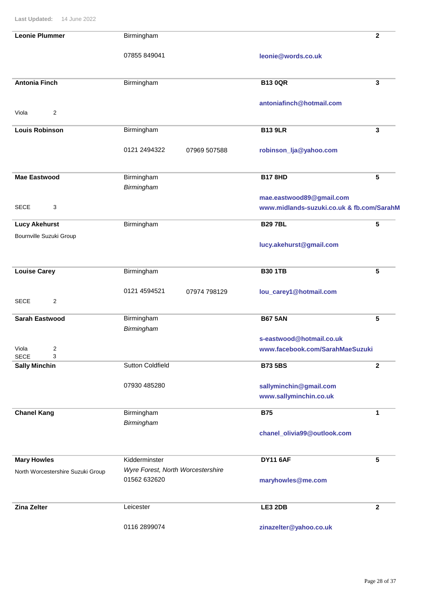| <b>Leonie Plummer</b>                    | Birmingham                        | $\mathbf{2}$                              |
|------------------------------------------|-----------------------------------|-------------------------------------------|
|                                          | 07855 849041                      | leonie@words.co.uk                        |
| <b>Antonia Finch</b>                     | Birmingham                        | <b>B13 0QR</b><br>3                       |
| 2<br>Viola                               |                                   | antoniafinch@hotmail.com                  |
| <b>Louis Robinson</b>                    | Birmingham                        | <b>B13 9LR</b><br>3                       |
|                                          | 0121 2494322<br>07969 507588      | robinson_lja@yahoo.com                    |
| <b>Mae Eastwood</b>                      | Birmingham                        | <b>B17 8HD</b><br>5                       |
|                                          | Birmingham                        | mae.eastwood89@gmail.com                  |
| <b>SECE</b><br>3                         |                                   | www.midlands-suzuki.co.uk & fb.com/SarahM |
| <b>Lucy Akehurst</b>                     | Birmingham                        | <b>B297BL</b><br>5                        |
| Bournville Suzuki Group                  |                                   | lucy.akehurst@gmail.com                   |
| <b>Louise Carey</b>                      | Birmingham                        | <b>B30 1TB</b><br>5                       |
| <b>SECE</b><br>2                         | 0121 4594521<br>07974 798129      | lou_carey1@hotmail.com                    |
| <b>Sarah Eastwood</b>                    | Birmingham                        | <b>B67 5AN</b><br>5                       |
|                                          | Birmingham                        | s-eastwood@hotmail.co.uk                  |
| $\mathfrak{p}$<br>Viola                  |                                   | www.facebook.com/SarahMaeSuzuki           |
| <b>SECE</b><br>3<br><b>Sally Minchin</b> | <b>Sutton Coldfield</b>           | <b>B73 5BS</b><br>$\mathbf{2}$            |
|                                          | 07930 485280                      | sallyminchin@gmail.com                    |
|                                          |                                   | www.sallyminchin.co.uk                    |
| <b>Chanel Kang</b>                       | Birmingham<br>Birmingham          | <b>B75</b><br>1                           |
|                                          |                                   | chanel_olivia99@outlook.com               |
| <b>Mary Howles</b>                       | Kidderminster                     | <b>DY11 6AF</b><br>5                      |
| North Worcestershire Suzuki Group        | Wyre Forest, North Worcestershire |                                           |
|                                          | 01562 632620                      | maryhowles@me.com                         |
| <b>Zina Zelter</b>                       | Leicester                         | LE3 2DB<br>$\overline{2}$                 |
|                                          | 0116 2899074                      | zinazelter@yahoo.co.uk                    |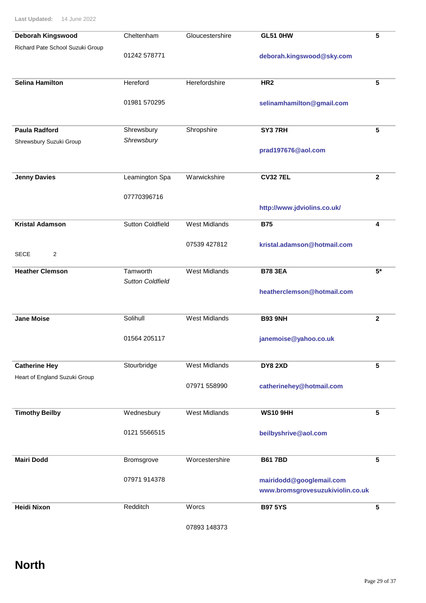| Deborah Kingswood                | Cheltenham                          | Gloucestershire      | <b>GL51 0HW</b>                  | 5               |
|----------------------------------|-------------------------------------|----------------------|----------------------------------|-----------------|
| Richard Pate School Suzuki Group | 01242 578771                        |                      | deborah.kingswood@sky.com        |                 |
| <b>Selina Hamilton</b>           | Hereford                            | Herefordshire        | HR <sub>2</sub>                  | 5               |
|                                  | 01981 570295                        |                      | selinamhamilton@gmail.com        |                 |
| <b>Paula Radford</b>             | Shrewsbury                          | Shropshire           | SY37RH                           | 5               |
| Shrewsbury Suzuki Group          | Shrewsbury                          |                      | prad197676@aol.com               |                 |
| <b>Jenny Davies</b>              | Leamington Spa                      | Warwickshire         | <b>CV32 7EL</b>                  | $\mathbf{2}$    |
|                                  | 07770396716                         |                      |                                  |                 |
|                                  |                                     |                      | http://www.jdviolins.co.uk/      |                 |
| <b>Kristal Adamson</b>           | <b>Sutton Coldfield</b>             | <b>West Midlands</b> | <b>B75</b>                       | 4               |
|                                  |                                     | 07539 427812         | kristal.adamson@hotmail.com      |                 |
| <b>SECE</b><br>2                 |                                     |                      |                                  |                 |
| <b>Heather Clemson</b>           | Tamworth<br><b>Sutton Coldfield</b> | <b>West Midlands</b> | <b>B78 3EA</b>                   | $5*$            |
|                                  |                                     |                      | heatherclemson@hotmail.com       |                 |
| <b>Jane Moise</b>                | Solihull                            | <b>West Midlands</b> | <b>B93 9NH</b>                   | $\overline{2}$  |
|                                  | 01564 205117                        |                      | janemoise@yahoo.co.uk            |                 |
| <b>Catherine Hey</b>             | Stourbridge                         | West Midlands        | <b>DY8 2XD</b>                   | 5               |
| Heart of England Suzuki Group    |                                     | 07971 558990         | catherinehey@hotmail.com         |                 |
|                                  |                                     |                      |                                  |                 |
| <b>Timothy Beilby</b>            | Wednesbury                          | <b>West Midlands</b> | <b>WS10 9HH</b>                  | 5               |
|                                  | 0121 5566515                        |                      | beilbyshrive@aol.com             |                 |
| <b>Mairi Dodd</b>                | Bromsgrove                          | Worcestershire       | <b>B617BD</b>                    | 5               |
|                                  | 07971 914378                        |                      | mairidodd@googlemail.com         |                 |
|                                  |                                     |                      | www.bromsgrovesuzukiviolin.co.uk |                 |
| <b>Heidi Nixon</b>               | Redditch                            | Worcs                | <b>B97 5YS</b>                   | $5\phantom{.0}$ |
|                                  |                                     |                      |                                  |                 |

07893 148373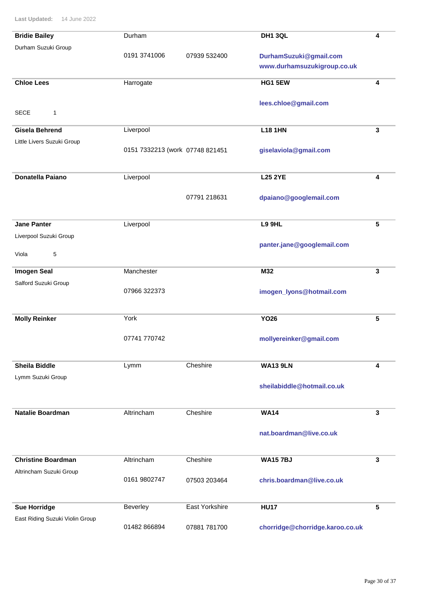| <b>Bridie Bailey</b>            | Durham                          |                | DH1 3QL                         | 4 |
|---------------------------------|---------------------------------|----------------|---------------------------------|---|
| Durham Suzuki Group             | 0191 3741006                    | 07939 532400   | DurhamSuzuki@gmail.com          |   |
|                                 |                                 |                | www.durhamsuzukigroup.co.uk     |   |
| <b>Chloe Lees</b>               |                                 |                | <b>HG1 5EW</b>                  |   |
|                                 | Harrogate                       |                |                                 | 4 |
|                                 |                                 |                | lees.chloe@gmail.com            |   |
| <b>SECE</b><br>1                |                                 |                |                                 |   |
| <b>Gisela Behrend</b>           | Liverpool                       |                | <b>L18 1HN</b>                  | 3 |
| Little Livers Suzuki Group      |                                 |                |                                 |   |
|                                 | 0151 7332213 (work 07748 821451 |                | giselaviola@gmail.com           |   |
|                                 |                                 |                |                                 |   |
| <b>Donatella Paiano</b>         | Liverpool                       |                | <b>L25 2YE</b>                  | 4 |
|                                 |                                 | 07791 218631   | dpaiano@googlemail.com          |   |
|                                 |                                 |                |                                 |   |
| <b>Jane Panter</b>              | Liverpool                       |                | L9 9HL                          | 5 |
| Liverpool Suzuki Group          |                                 |                |                                 |   |
|                                 |                                 |                | panter.jane@googlemail.com      |   |
| 5<br>Viola                      |                                 |                |                                 |   |
| <b>Imogen Seal</b>              | Manchester                      |                | M32                             | 3 |
| Salford Suzuki Group            | 07966 322373                    |                |                                 |   |
|                                 |                                 |                | imogen_lyons@hotmail.com        |   |
|                                 |                                 |                |                                 |   |
| <b>Molly Reinker</b>            | York                            |                | <b>YO26</b>                     | 5 |
|                                 | 07741 770742                    |                | mollyereinker@gmail.com         |   |
|                                 |                                 |                |                                 |   |
| <b>Sheila Biddle</b>            | Lymm                            | Cheshire       | <b>WA13 9LN</b>                 | 4 |
| Lymm Suzuki Group               |                                 |                |                                 |   |
|                                 |                                 |                | sheilabiddle@hotmail.co.uk      |   |
|                                 |                                 |                |                                 |   |
| <b>Natalie Boardman</b>         | Altrincham                      | Cheshire       | <b>WA14</b>                     | 3 |
|                                 |                                 |                | nat.boardman@live.co.uk         |   |
|                                 |                                 |                |                                 |   |
| <b>Christine Boardman</b>       | Altrincham                      | Cheshire       | <b>WA157BJ</b>                  | 3 |
| Altrincham Suzuki Group         |                                 |                |                                 |   |
|                                 | 0161 9802747                    | 07503 203464   | chris.boardman@live.co.uk       |   |
|                                 |                                 |                |                                 |   |
| <b>Sue Horridge</b>             | Beverley                        | East Yorkshire | <b>HU17</b>                     | 5 |
| East Riding Suzuki Violin Group |                                 |                |                                 |   |
|                                 | 01482 866894                    | 07881 781700   | chorridge@chorridge.karoo.co.uk |   |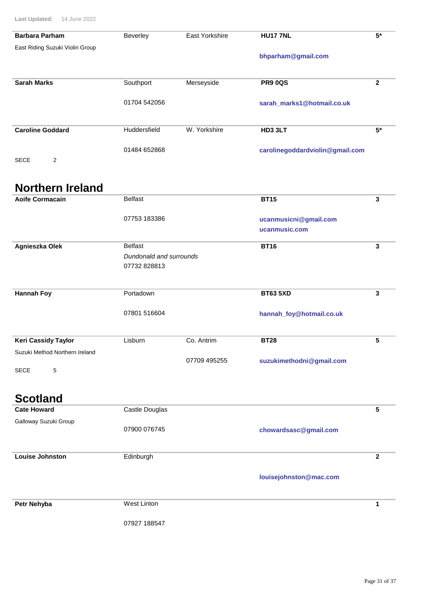| <b>Barbara Parham</b>           | Beverley                                | East Yorkshire | <b>HU17 7NL</b>                        | $5*$                    |
|---------------------------------|-----------------------------------------|----------------|----------------------------------------|-------------------------|
| East Riding Suzuki Violin Group |                                         |                | bhparham@gmail.com                     |                         |
| <b>Sarah Marks</b>              | Southport                               | Merseyside     | <b>PR9 0QS</b>                         | $\mathbf{2}$            |
|                                 | 01704 542056                            |                | sarah_marks1@hotmail.co.uk             |                         |
| <b>Caroline Goddard</b>         | Huddersfield                            | W. Yorkshire   | HD3 3LT                                | $5*$                    |
| <b>SECE</b><br>2                | 01484 652868                            |                | carolinegoddardviolin@gmail.com        |                         |
| <b>Northern Ireland</b>         |                                         |                |                                        |                         |
| <b>Aoife Cormacain</b>          | Belfast                                 |                | <b>BT15</b>                            | 3                       |
|                                 | 07753 183386                            |                | ucanmusicni@gmail.com<br>ucanmusic.com |                         |
| Agnieszka Olek                  | <b>Belfast</b>                          |                | <b>BT16</b>                            | $\overline{\mathbf{3}}$ |
|                                 | Dundonald and surrounds<br>07732 828813 |                |                                        |                         |
| <b>Hannah Foy</b>               | Portadown                               |                | <b>BT63 5XD</b>                        | $\mathbf{3}$            |
|                                 | 07801 516604                            |                | hannah_foy@hotmail.co.uk               |                         |
| <b>Keri Cassidy Taylor</b>      | Lisburn                                 | Co. Antrim     | <b>BT28</b>                            | 5                       |
| Suzuki Method Northern Ireland  |                                         | 07709 495255   | suzukimethodni@gmail.com               |                         |
| <b>SECE</b><br>5                |                                         |                |                                        |                         |
| <b>Scotland</b>                 |                                         |                |                                        |                         |
| <b>Cate Howard</b>              | Castle Douglas                          |                |                                        | $5\phantom{.0}$         |
| Galloway Suzuki Group           | 07900 076745                            |                | chowardsasc@gmail.com                  |                         |

Edinburgh **Louise Johnston 2**

**louisejohnston@mac.com**

**Petr Nehyba** West Linton **1** 

07927 188547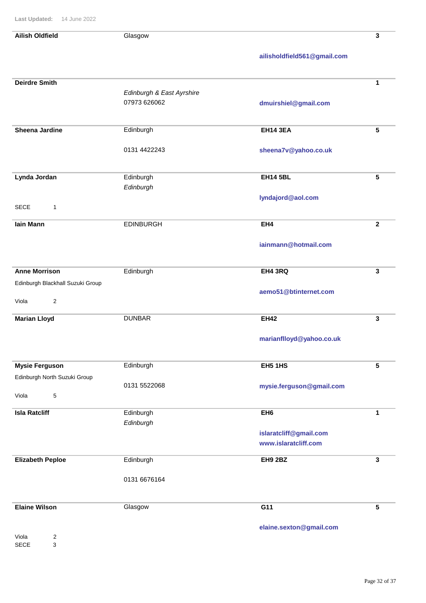SECE 3

| <b>Ailish Oldfield</b>           | Glasgow                   |                             | 3                       |
|----------------------------------|---------------------------|-----------------------------|-------------------------|
|                                  |                           | ailisholdfield561@gmail.com |                         |
|                                  |                           |                             |                         |
| <b>Deirdre Smith</b>             |                           |                             | 1                       |
|                                  | Edinburgh & East Ayrshire |                             |                         |
|                                  | 07973 626062              | dmuirshiel@gmail.com        |                         |
| <b>Sheena Jardine</b>            | Edinburgh                 | <b>EH14 3EA</b>             | $5\phantom{.0}$         |
|                                  |                           |                             |                         |
|                                  | 0131 4422243              | sheena7v@yahoo.co.uk        |                         |
|                                  |                           |                             |                         |
| Lynda Jordan                     | Edinburgh                 | <b>EH14 5BL</b>             | $5\phantom{1}$          |
|                                  | Edinburgh                 |                             |                         |
| <b>SECE</b><br>$\mathbf{1}$      |                           | lyndajord@aol.com           |                         |
|                                  |                           |                             |                         |
| lain Mann                        | <b>EDINBURGH</b>          | EH4                         | $\overline{\mathbf{2}}$ |
|                                  |                           | iainmann@hotmail.com        |                         |
|                                  |                           |                             |                         |
| <b>Anne Morrison</b>             | Edinburgh                 | EH4 3RQ                     | 3                       |
| Edinburgh Blackhall Suzuki Group |                           |                             |                         |
|                                  |                           | aemo51@btinternet.com       |                         |
| $\overline{c}$<br>Viola          |                           |                             |                         |
| <b>Marian Lloyd</b>              | <b>DUNBAR</b>             | <b>EH42</b>                 | $\mathbf{3}$            |
|                                  |                           | marianflloyd@yahoo.co.uk    |                         |
|                                  |                           |                             |                         |
| <b>Mysie Ferguson</b>            | Edinburgh                 | <b>EH5 1HS</b>              | $5\phantom{.0}$         |
| Edinburgh North Suzuki Group     |                           |                             |                         |
|                                  | 0131 5522068              | mysie.ferguson@gmail.com    |                         |
| $\mathbf 5$<br>Viola             |                           |                             |                         |
| <b>Isla Ratcliff</b>             | Edinburgh                 | EH <sub>6</sub>             | 1                       |
|                                  | Edinburgh                 |                             |                         |
|                                  |                           | islaratcliff@gmail.com      |                         |
|                                  |                           | www.islaratcliff.com        |                         |
| <b>Elizabeth Peploe</b>          | Edinburgh                 | <b>EH9 2BZ</b>              | $\mathbf{3}$            |
|                                  |                           |                             |                         |
|                                  | 0131 6676164              |                             |                         |
|                                  |                           |                             |                         |
| <b>Elaine Wilson</b>             | Glasgow                   | G11                         | $5\phantom{.0}$         |
|                                  |                           | elaine.sexton@gmail.com     |                         |
| $\overline{\mathbf{c}}$<br>Viola |                           |                             |                         |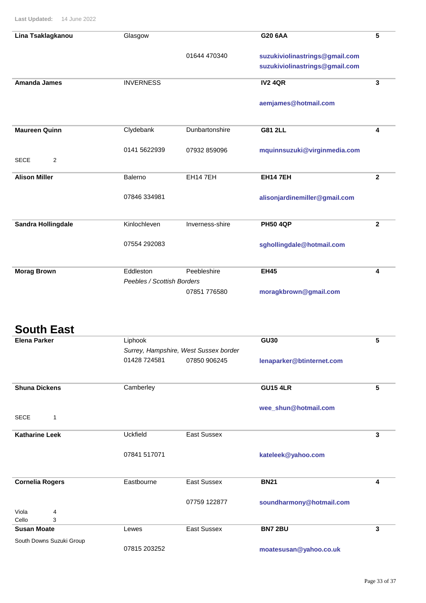| Lina Tsaklagkanou                        | Glasgow                    |                                       | G20 6AA                        | 5               |
|------------------------------------------|----------------------------|---------------------------------------|--------------------------------|-----------------|
|                                          |                            | 01644 470340                          | suzukiviolinastrings@gmail.com |                 |
|                                          |                            |                                       | suzukiviolinastrings@gmail.com |                 |
| <b>Amanda James</b>                      | <b>INVERNESS</b>           |                                       | <b>IV2 4QR</b>                 | 3               |
|                                          |                            |                                       | aemjames@hotmail.com           |                 |
|                                          |                            |                                       |                                |                 |
| <b>Maureen Quinn</b>                     | Clydebank                  | Dunbartonshire                        | <b>G81 2LL</b>                 | 4               |
|                                          |                            |                                       |                                |                 |
| <b>SECE</b><br>2                         | 0141 5622939               | 07932 859096                          | mquinnsuzuki@virginmedia.com   |                 |
|                                          |                            |                                       |                                |                 |
| <b>Alison Miller</b>                     | Balerno                    | EH14 7EH                              | <b>EH147EH</b>                 | $\mathbf{2}$    |
|                                          | 07846 334981               |                                       | alisonjardinemiller@gmail.com  |                 |
|                                          |                            |                                       |                                |                 |
| Sandra Hollingdale                       | Kinlochleven               | Inverness-shire                       | <b>PH50 4QP</b>                | $\mathbf{2}$    |
|                                          |                            |                                       |                                |                 |
|                                          | 07554 292083               |                                       | sghollingdale@hotmail.com      |                 |
| <b>Morag Brown</b>                       | Eddleston                  | Peebleshire                           | <b>EH45</b>                    | 4               |
|                                          | Peebles / Scottish Borders |                                       |                                |                 |
|                                          |                            | 07851 776580                          | moragkbrown@gmail.com          |                 |
|                                          |                            |                                       |                                |                 |
| <b>South East</b><br><b>Elena Parker</b> | Liphook                    |                                       | <b>GU30</b>                    | 5               |
|                                          |                            | Surrey, Hampshire, West Sussex border |                                |                 |
|                                          | 01428 724581               | 07850 906245                          | lenaparker@btinternet.com      |                 |
|                                          |                            |                                       |                                |                 |
| <b>Shuna Dickens</b>                     | Camberley                  |                                       | <b>GU15 4LR</b>                | $5\phantom{.0}$ |
|                                          |                            |                                       | wee_shun@hotmail.com           |                 |
| <b>SECE</b><br>1                         |                            |                                       |                                |                 |
| <b>Katharine Leek</b>                    | <b>Uckfield</b>            | East Sussex                           |                                | $\mathbf{3}$    |
|                                          |                            |                                       |                                |                 |
|                                          | 07841 517071               |                                       | kateleek@yahoo.com             |                 |
| <b>Cornelia Rogers</b>                   | Eastbourne                 | East Sussex                           | <b>BN21</b>                    | 4               |
|                                          |                            |                                       |                                |                 |
|                                          |                            | 07759 122877                          | soundharmony@hotmail.com       |                 |
| Viola<br>4<br>Cello<br>3                 |                            |                                       |                                |                 |
| <b>Susan Moate</b>                       | Lewes                      | East Sussex                           | <b>BN7 2BU</b>                 | $\mathbf{3}$    |

South Downs Suzuki Group

07815 203252

**moatesusan@yahoo.co.uk**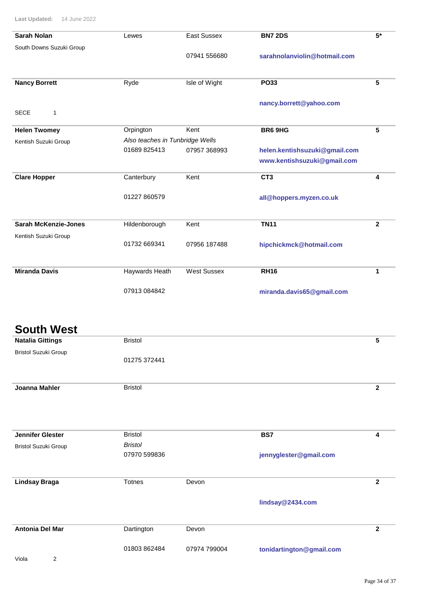| <b>Sarah Nolan</b>          | Lewes                           | East Sussex        | <b>BN7 2DS</b>                | $5*$         |
|-----------------------------|---------------------------------|--------------------|-------------------------------|--------------|
| South Downs Suzuki Group    |                                 |                    |                               |              |
|                             |                                 | 07941 556680       | sarahnolanviolin@hotmail.com  |              |
|                             |                                 |                    |                               |              |
| <b>Nancy Borrett</b>        | Ryde                            | Isle of Wight      | <b>PO33</b>                   | 5            |
|                             |                                 |                    |                               |              |
|                             |                                 |                    | nancy.borrett@yahoo.com       |              |
| <b>SECE</b><br>$\mathbf{1}$ |                                 |                    |                               |              |
| <b>Helen Twomey</b>         | Orpington                       | Kent               | <b>BR6 9HG</b>                | 5            |
| Kentish Suzuki Group        | Also teaches in Tunbridge Wells |                    |                               |              |
|                             | 01689 825413                    | 07957 368993       | helen.kentishsuzuki@gmail.com |              |
|                             |                                 |                    | www.kentishsuzuki@gmail.com   |              |
| <b>Clare Hopper</b>         | Canterbury                      | Kent               | CT3                           | 4            |
|                             |                                 |                    |                               |              |
|                             | 01227 860579                    |                    | all@hoppers.myzen.co.uk       |              |
|                             |                                 |                    |                               |              |
| <b>Sarah McKenzie-Jones</b> | Hildenborough                   | Kent               | <b>TN11</b>                   | $\mathbf{2}$ |
| Kentish Suzuki Group        |                                 |                    |                               |              |
|                             | 01732 669341                    | 07956 187488       | hipchickmck@hotmail.com       |              |
|                             |                                 |                    |                               |              |
| <b>Miranda Davis</b>        | Haywards Heath                  | <b>West Sussex</b> | <b>RH16</b>                   | 1            |
|                             |                                 |                    |                               |              |
|                             | 07913 084842                    |                    | miranda.davis65@gmail.com     |              |
|                             |                                 |                    |                               |              |
|                             |                                 |                    |                               |              |
| <b>South West</b>           |                                 |                    |                               |              |
|                             | <b>Bristol</b>                  |                    |                               | 5            |
| <b>Natalia Gittings</b>     |                                 |                    |                               |              |
| <b>Bristol Suzuki Group</b> | 01275 372441                    |                    |                               |              |
|                             |                                 |                    |                               |              |

| Joanna Mahler               | <b>Bristol</b> |                        | $\mathbf{2}$ |
|-----------------------------|----------------|------------------------|--------------|
|                             |                |                        |              |
|                             |                |                        |              |
|                             |                |                        |              |
| <b>Jennifer Glester</b>     | <b>Bristol</b> | BS7                    | 4            |
| <b>Bristol Suzuki Group</b> | <b>Bristol</b> |                        |              |
|                             | 07970 599836   | jennyglester@gmail.com |              |
|                             |                |                        |              |
|                             |                |                        |              |

**Totnes lindsay@2434.com Lindsay Braga Devon 2 2** Dartington **tonidartington@gmail.com Antonia Del Mar 2 2** 01803 862484 07974 799004

Viola 2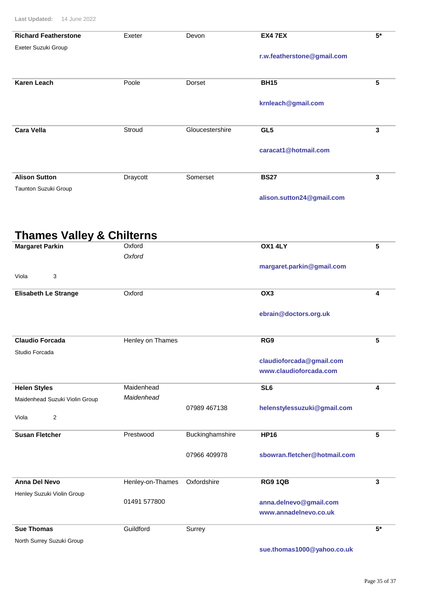| <b>Richard Featherstone</b>          | Exeter           | Devon           | <b>EX4 7EX</b>                                  | $5*$         |
|--------------------------------------|------------------|-----------------|-------------------------------------------------|--------------|
| Exeter Suzuki Group                  |                  |                 |                                                 |              |
|                                      |                  |                 | r.w.featherstone@gmail.com                      |              |
|                                      |                  |                 |                                                 |              |
| <b>Karen Leach</b>                   | Poole            | <b>Dorset</b>   | <b>BH15</b>                                     | 5            |
|                                      |                  |                 | krnleach@gmail.com                              |              |
|                                      |                  |                 |                                                 |              |
| <b>Cara Vella</b>                    | Stroud           | Gloucestershire | GL <sub>5</sub>                                 | 3            |
|                                      |                  |                 | caracat1@hotmail.com                            |              |
|                                      |                  |                 |                                                 |              |
| <b>Alison Sutton</b>                 | Draycott         | Somerset        | <b>BS27</b>                                     | $\mathbf{3}$ |
| Taunton Suzuki Group                 |                  |                 |                                                 |              |
|                                      |                  |                 | alison.sutton24@gmail.com                       |              |
|                                      |                  |                 |                                                 |              |
|                                      |                  |                 |                                                 |              |
| <b>Thames Valley &amp; Chilterns</b> | Oxford           |                 | <b>OX1 4LY</b>                                  | 5            |
| <b>Margaret Parkin</b>               | Oxford           |                 |                                                 |              |
|                                      |                  |                 | margaret.parkin@gmail.com                       |              |
| Viola<br>3                           |                  |                 |                                                 |              |
| <b>Elisabeth Le Strange</b>          | Oxford           |                 | OX <sub>3</sub>                                 | 4            |
|                                      |                  |                 |                                                 |              |
|                                      |                  |                 | ebrain@doctors.org.uk                           |              |
| <b>Claudio Forcada</b>               | Henley on Thames |                 | RG9                                             | 5            |
| Studio Forcada                       |                  |                 |                                                 |              |
|                                      |                  |                 | claudioforcada@gmail.com                        |              |
|                                      |                  |                 | www.claudioforcada.com                          |              |
| <b>Helen Styles</b>                  | Maidenhead       |                 | SL <sub>6</sub>                                 | 4            |
| Maidenhead Suzuki Violin Group       | Maidenhead       | 07989 467138    | helenstylessuzuki@gmail.com                     |              |
| 2<br>Viola                           |                  |                 |                                                 |              |
| <b>Susan Fletcher</b>                | Prestwood        | Buckinghamshire | <b>HP16</b>                                     | 5            |
|                                      |                  |                 |                                                 |              |
|                                      |                  | 07966 409978    | sbowran.fletcher@hotmail.com                    |              |
|                                      |                  |                 |                                                 |              |
| <b>Anna Del Nevo</b>                 | Henley-on-Thames | Oxfordshire     | <b>RG9 1QB</b>                                  | 3            |
| Henley Suzuki Violin Group           |                  |                 |                                                 |              |
|                                      | 01491 577800     |                 | anna.delnevo@gmail.com<br>www.annadelnevo.co.uk |              |
|                                      |                  |                 |                                                 |              |
| <b>Sue Thomas</b>                    | Guildford        | Surrey          |                                                 | $5*$         |
| North Surrey Suzuki Group            |                  |                 |                                                 |              |

**sue.thomas1000@yahoo.co.uk**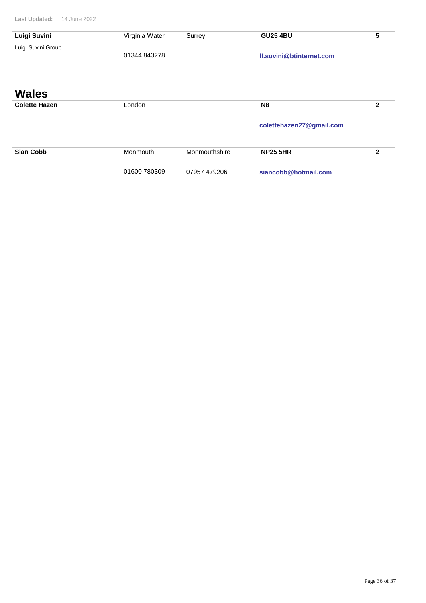| Luigi Suvini         | Virginia Water | Surrey        | <b>GU25 4BU</b>          | 5              |
|----------------------|----------------|---------------|--------------------------|----------------|
| Luigi Suvini Group   |                |               |                          |                |
|                      | 01344 843278   |               | If.suvini@btinternet.com |                |
|                      |                |               |                          |                |
|                      |                |               |                          |                |
|                      |                |               |                          |                |
| <b>Wales</b>         |                |               |                          |                |
| <b>Colette Hazen</b> | London         |               | <b>N8</b>                | $\mathbf{2}$   |
|                      |                |               |                          |                |
|                      |                |               | colettehazen27@gmail.com |                |
|                      |                |               |                          |                |
| <b>Sian Cobb</b>     | Monmouth       | Monmouthshire | <b>NP25 5HR</b>          | $\mathfrak{p}$ |
|                      |                |               |                          |                |
|                      |                |               |                          |                |
|                      | 01600 780309   | 07957 479206  | siancobb@hotmail.com     |                |